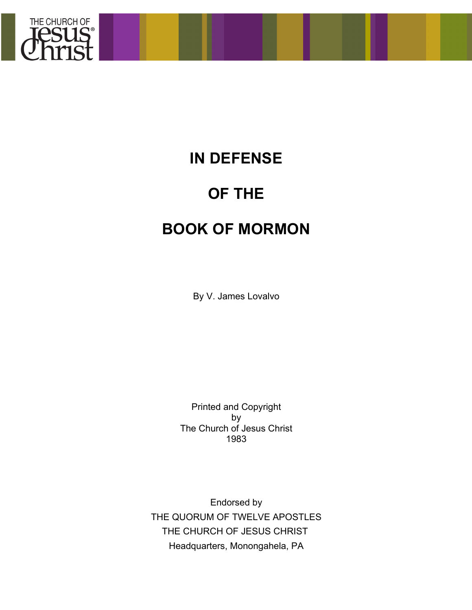

# **IN DEFENSE**

# **OF THE**

# **BOOK OF MORMON**

By V. James Lovalvo

Printed and Copyright by The Church of Jesus Christ 1983

Endorsed by THE QUORUM OF TWELVE APOSTLES THE CHURCH OF JESUS CHRIST Headquarters, Monongahela, PA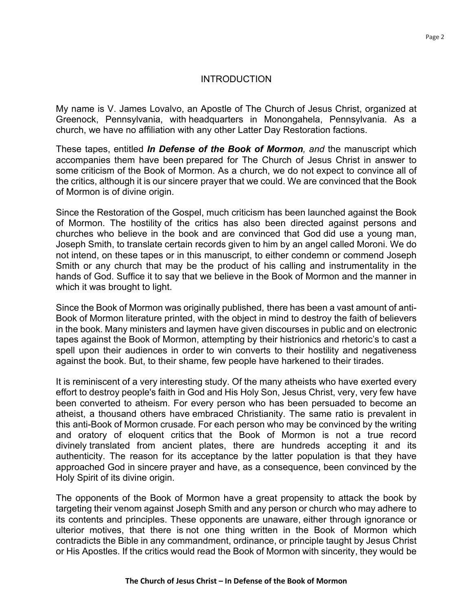# INTRODUCTION

My name is V. James Lovalvo, an Apostle of The Church of Jesus Christ, organized at Greenock, Pennsylvania, with headquarters in Monongahela, Pennsylvania. As a church, we have no affiliation with any other Latter Day Restoration factions.

These tapes, entitled *In Defense of the Book of Mormon, and* the manuscript which accompanies them have been prepared for The Church of Jesus Christ in answer to some criticism of the Book of Mormon. As a church, we do not expect to convince all of the critics, although it is our sincere prayer that we could. We are convinced that the Book of Mormon is of divine origin.

Since the Restoration of the Gospel, much criticism has been launched against the Book of Mormon. The hostility of the critics has also been directed against persons and churches who believe in the book and are convinced that God did use a young man, Joseph Smith, to translate certain records given to him by an angel called Moroni. We do not intend, on these tapes or in this manuscript, to either condemn or commend Joseph Smith or any church that may be the product of his calling and instrumentality in the hands of God. Suffice it to say that we believe in the Book of Mormon and the manner in which it was brought to light.

Since the Book of Mormon was originally published, there has been a vast amount of anti-Book of Mormon literature printed, with the object in mind to destroy the faith of believers in the book. Many ministers and laymen have given discourses in public and on electronic tapes against the Book of Mormon, attempting by their histrionics and rhetoric's to cast a spell upon their audiences in order to win converts to their hostility and negativeness against the book. But, to their shame, few people have harkened to their tirades.

It is reminiscent of a very interesting study. Of the many atheists who have exerted every effort to destroy people's faith in God and His Holy Son, Jesus Christ, very, very few have been converted to atheism. For every person who has been persuaded to become an atheist, a thousand others have embraced Christianity. The same ratio is prevalent in this anti-Book of Mormon crusade. For each person who may be convinced by the writing and oratory of eloquent critics that the Book of Mormon is not a true record divinely translated from ancient plates, there are hundreds accepting it and its authenticity. The reason for its acceptance by the latter population is that they have approached God in sincere prayer and have, as a consequence, been convinced by the Holy Spirit of its divine origin.

The opponents of the Book of Mormon have a great propensity to attack the book by targeting their venom against Joseph Smith and any person or church who may adhere to its contents and principles. These opponents are unaware, either through ignorance or ulterior motives, that there is not one thing written in the Book of Mormon which contradicts the Bible in any commandment, ordinance, or principle taught by Jesus Christ or His Apostles. If the critics would read the Book of Mormon with sincerity, they would be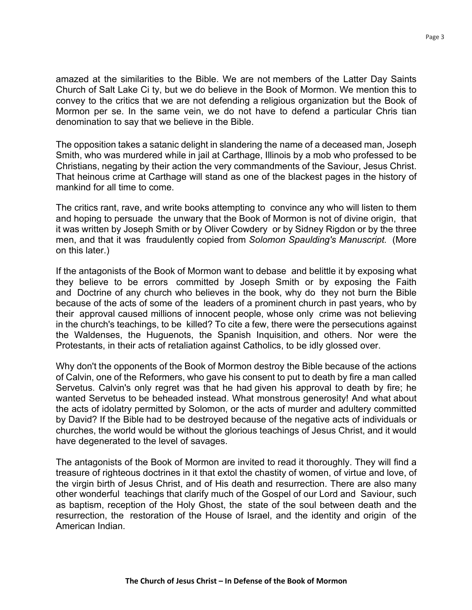amazed at the similarities to the Bible. We are not members of the Latter Day Saints Church of Salt Lake Ci ty, but we do believe in the Book of Mormon. We mention this to convey to the critics that we are not defending a religious organization but the Book of Mormon per se. In the same vein, we do not have to defend a particular Chris tian denomination to say that we believe in the Bible.

The opposition takes a satanic delight in slandering the name of a deceased man, Joseph Smith, who was murdered while in jail at Carthage, Illinois by a mob who professed to be Christians, negating by their action the very commandments of the Saviour, Jesus Christ. That heinous crime at Carthage will stand as one of the blackest pages in the history of mankind for all time to come.

The critics rant, rave, and write books attempting to convince any who will listen to them and hoping to persuade the unwary that the Book of Mormon is not of divine origin, that it was written by Joseph Smith or by Oliver Cowdery or by Sidney Rigdon or by the three men, and that it was fraudulently copied from *Solomon Spaulding's Manuscript.* (More on this later.)

If the antagonists of the Book of Mormon want to debase and belittle it by exposing what they believe to be errors committed by Joseph Smith or by exposing the Faith and Doctrine of any church who believes in the book, why do they not burn the Bible because of the acts of some of the leaders of a prominent church in past years, who by their approval caused millions of innocent people, whose only crime was not believing in the church's teachings, to be killed? To cite a few, there were the persecutions against the Waldenses, the Huguenots, the Spanish Inquisition, and others. Nor were the Protestants, in their acts of retaliation against Catholics, to be idly glossed over.

Why don't the opponents of the Book of Mormon destroy the Bible because of the actions of Calvin, one of the Reformers, who gave his consent to put to death by fire a man called Servetus. Calvin's only regret was that he had given his approval to death by fire; he wanted Servetus to be beheaded instead. What monstrous generosity! And what about the acts of idolatry permitted by Solomon, or the acts of murder and adultery committed by David? If the Bible had to be destroyed because of the negative acts of individuals or churches, the world would be without the glorious teachings of Jesus Christ, and it would have degenerated to the level of savages.

The antagonists of the Book of Mormon are invited to read it thoroughly. They will find a treasure of righteous doctrines in it that extol the chastity of women, of virtue and love, of the virgin birth of Jesus Christ, and of His death and resurrection. There are also many other wonderful teachings that clarify much of the Gospel of our Lord and Saviour, such as baptism, reception of the Holy Ghost, the state of the soul between death and the resurrection, the restoration of the House of Israel, and the identity and origin of the American Indian.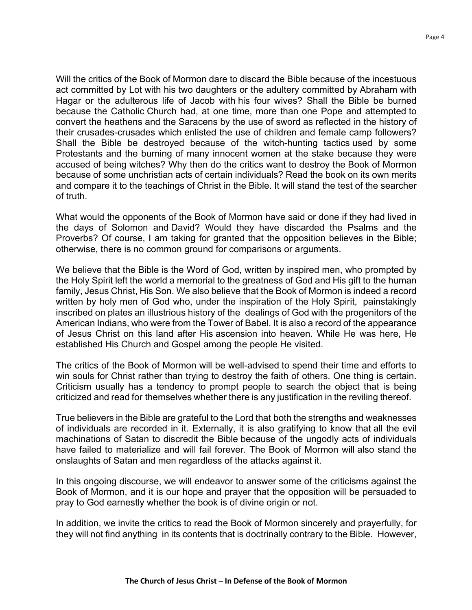Will the critics of the Book of Mormon dare to discard the Bible because of the incestuous act committed by Lot with his two daughters or the adultery committed by Abraham with Hagar or the adulterous life of Jacob with his four wives? Shall the Bible be burned because the Catholic Church had, at one time, more than one Pope and attempted to convert the heathens and the Saracens by the use of sword as reflected in the history of their crusades-crusades which enlisted the use of children and female camp followers? Shall the Bible be destroyed because of the witch-hunting tactics used by some Protestants and the burning of many innocent women at the stake because they were accused of being witches? Why then do the critics want to destroy the Book of Mormon because of some unchristian acts of certain individuals? Read the book on its own merits and compare it to the teachings of Christ in the Bible. It will stand the test of the searcher of truth.

What would the opponents of the Book of Mormon have said or done if they had lived in the days of Solomon and David? Would they have discarded the Psalms and the Proverbs? Of course, I am taking for granted that the opposition believes in the Bible; otherwise, there is no common ground for comparisons or arguments.

We believe that the Bible is the Word of God, written by inspired men, who prompted by the Holy Spirit left the world a memorial to the greatness of God and His gift to the human family, Jesus Christ, His Son. We also believe that the Book of Mormon is indeed a record written by holy men of God who, under the inspiration of the Holy Spirit, painstakingly inscribed on plates an illustrious history of the dealings of God with the progenitors of the American Indians, who were from the Tower of Babel. It is also a record of the appearance of Jesus Christ on this land after His ascension into heaven. While He was here, He established His Church and Gospel among the people He visited.

The critics of the Book of Mormon will be well-advised to spend their time and efforts to win souls for Christ rather than trying to destroy the faith of others. One thing is certain. Criticism usually has a tendency to prompt people to search the object that is being criticized and read for themselves whether there is any justification in the reviling thereof.

True believers in the Bible are grateful to the Lord that both the strengths and weaknesses of individuals are recorded in it. Externally, it is also gratifying to know that all the evil machinations of Satan to discredit the Bible because of the ungodly acts of individuals have failed to materialize and will fail forever. The Book of Mormon will also stand the onslaughts of Satan and men regardless of the attacks against it.

In this ongoing discourse, we will endeavor to answer some of the criticisms against the Book of Mormon, and it is our hope and prayer that the opposition will be persuaded to pray to God earnestly whether the book is of divine origin or not.

In addition, we invite the critics to read the Book of Mormon sincerely and prayerfully, for they will not find anything in its contents that is doctrinally contrary to the Bible. However,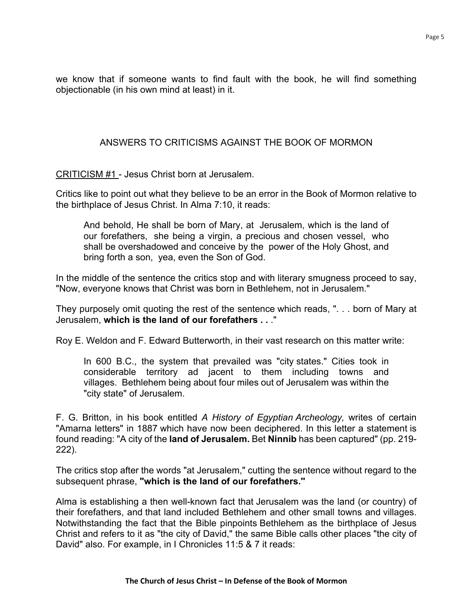we know that if someone wants to find fault with the book, he will find something objectionable (in his own mind at least) in it.

# ANSWERS TO CRITICISMS AGAINST THE BOOK OF MORMON

CRITICISM #1 - Jesus Christ born at Jerusalem.

Critics like to point out what they believe to be an error in the Book of Mormon relative to the birthplace of Jesus Christ. In Alma 7:10, it reads:

And behold, He shall be born of Mary, at Jerusalem, which is the land of our forefathers, she being a virgin, a precious and chosen vessel, who shall be overshadowed and conceive by the power of the Holy Ghost, and bring forth a son, yea, even the Son of God.

In the middle of the sentence the critics stop and with literary smugness proceed to say, "Now, everyone knows that Christ was born in Bethlehem, not in Jerusalem."

They purposely omit quoting the rest of the sentence which reads, ". . . born of Mary at Jerusalem, **which is the land of our forefathers . .** ."

Roy E. Weldon and F. Edward Butterworth, in their vast research on this matter write:

In 600 B.C., the system that prevailed was "city states." Cities took in considerable territory ad jacent to them including towns and villages. Bethlehem being about four miles out of Jerusalem was within the "city state" of Jerusalem.

F. G. Britton, in his book entitled *A History of Egyptian Archeology,* writes of certain "Amarna letters" in 1887 which have now been deciphered. In this letter a statement is found reading: "A city of the **land of Jerusalem.** Bet **Ninnib** has been captured" (pp. 219- 222).

The critics stop after the words "at Jerusalem," cutting the sentence without regard to the subsequent phrase, **"which is the land of our forefathers.''**

Alma is establishing a then well-known fact that Jerusalem was the land (or country) of their forefathers, and that land included Bethlehem and other small towns and villages. Notwithstanding the fact that the Bible pinpoints Bethlehem as the birthplace of Jesus Christ and refers to it as "the city of David," the same Bible calls other places "the city of David" also. For example, in I Chronicles 11:5 & 7 it reads: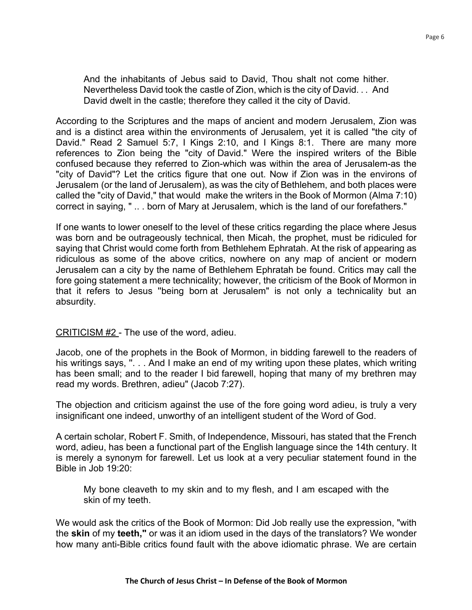And the inhabitants of Jebus said to David, Thou shalt not come hither. Nevertheless David took the castle of Zion, which is the city of David. . . And David dwelt in the castle; therefore they called it the city of David.

According to the Scriptures and the maps of ancient and modern Jerusalem, Zion was and is a distinct area within the environments of Jerusalem, yet it is called "the city of David." Read 2 Samuel 5:7, I Kings 2:10, and I Kings 8:1. There are many more references to Zion being the "city of David." Were the inspired writers of the Bible confused because they referred to Zion-which was within the area of Jerusalem-as the "city of David"? Let the critics figure that one out. Now if Zion was in the environs of Jerusalem (or the land of Jerusalem), as was the city of Bethlehem, and both places were called the "city of David," that would make the writers in the Book of Mormon (Alma 7:10) correct in saying, " .. . born of Mary at Jerusalem, which is the land of our forefathers."

If one wants to lower oneself to the level of these critics regarding the place where Jesus was born and be outrageously technical, then Micah, the prophet, must be ridiculed for saying that Christ would come forth from Bethlehem Ephratah. At the risk of appearing as ridiculous as some of the above critics, nowhere on any map of ancient or modern Jerusalem can a city by the name of Bethlehem Ephratah be found. Critics may call the fore going statement a mere technicality; however, the criticism of the Book of Mormon in that it refers to Jesus ''being born at Jerusalem" is not only a technicality but an absurdity.

# CRITICISM #2 - The use of the word, adieu.

Jacob, one of the prophets in the Book of Mormon, in bidding farewell to the readers of his writings says, ". . . And I make an end of my writing upon these plates, which writing has been small; and to the reader I bid farewell, hoping that many of my brethren may read my words. Brethren, adieu" (Jacob 7:27).

The objection and criticism against the use of the fore going word adieu, is truly a very insignificant one indeed, unworthy of an intelligent student of the Word of God.

A certain scholar, Robert F. Smith, of Independence, Missouri, has stated that the French word, adieu, has been a functional part of the English language since the 14th century. It is merely a synonym for farewell. Let us look at a very peculiar statement found in the Bible in Job 19:20:

My bone cleaveth to my skin and to my flesh, and I am escaped with the skin of my teeth.

We would ask the critics of the Book of Mormon: Did Job really use the expression, "with the **skin** of my **teeth,"** or was it an idiom used in the days of the translators? We wonder how many anti-Bible critics found fault with the above idiomatic phrase. We are certain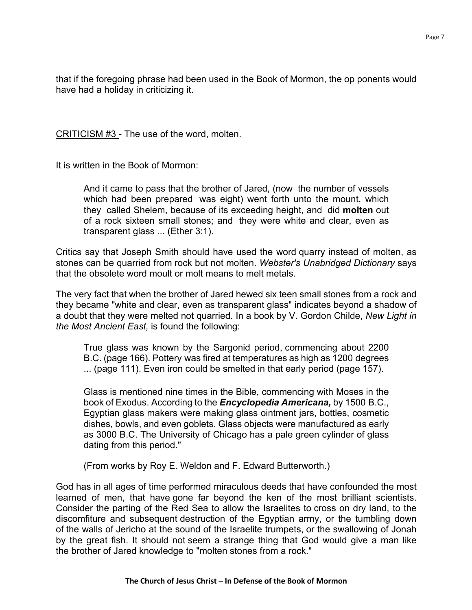that if the foregoing phrase had been used in the Book of Mormon, the op ponents would have had a holiday in criticizing it.

CRITICISM #3 - The use of the word, molten.

It is written in the Book of Mormon:

And it came to pass that the brother of Jared, (now the number of vessels which had been prepared was eight) went forth unto the mount, which they called Shelem, because of its exceeding height, and did **molten** out of a rock sixteen small stones; and they were white and clear, even as transparent glass ... (Ether 3:1).

Critics say that Joseph Smith should have used the word quarry instead of molten, as stones can be quarried from rock but not molten. *Webster's Unabridged Dictionary* says that the obsolete word moult or molt means to melt metals.

The very fact that when the brother of Jared hewed six teen small stones from a rock and they became "white and clear, even as transparent glass" indicates beyond a shadow of a doubt that they were melted not quarried. In a book by V. Gordon Childe, *New Light in the Most Ancient East,* is found the following:

True glass was known by the Sargonid period, commencing about 2200 B.C. (page 166). Pottery was fired at temperatures as high as 1200 degrees ... (page 111). Even iron could be smelted in that early period (page 157).

Glass is mentioned nine times in the Bible, commencing with Moses in the book of Exodus. According to the *Encyclopedia Americana,* by 1500 B.C., Egyptian glass makers were making glass ointment jars, bottles, cosmetic dishes, bowls, and even goblets. Glass objects were manufactured as early as 3000 B.C. The University of Chicago has a pale green cylinder of glass dating from this period."

(From works by Roy E. Weldon and F. Edward Butterworth.)

God has in all ages of time performed miraculous deeds that have confounded the most learned of men, that have gone far beyond the ken of the most brilliant scientists. Consider the parting of the Red Sea to allow the Israelites to cross on dry land, to the discomfiture and subsequent destruction of the Egyptian army, or the tumbling down of the walls of Jericho at the sound of the Israelite trumpets, or the swallowing of Jonah by the great fish. It should not seem a strange thing that God would give a man like the brother of Jared knowledge to "molten stones from a rock."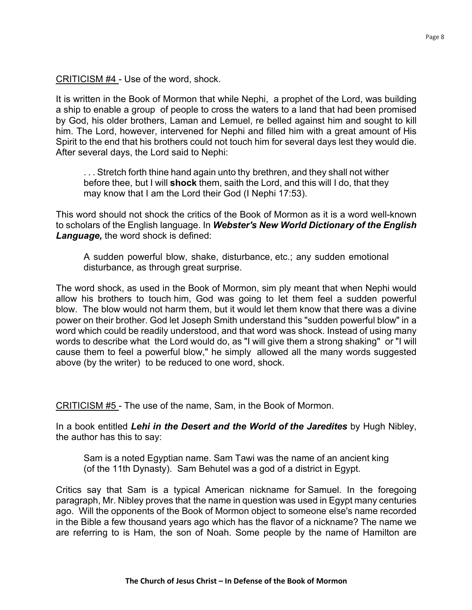CRITICISM #4 - Use of the word, shock.

It is written in the Book of Mormon that while Nephi, a prophet of the Lord, was building a ship to enable a group of people to cross the waters to a land that had been promised by God, his older brothers, Laman and Lemuel, re belled against him and sought to kill him. The Lord, however, intervened for Nephi and filled him with a great amount of His Spirit to the end that his brothers could not touch him for several days lest they would die. After several days, the Lord said to Nephi:

. . . Stretch forth thine hand again unto thy brethren, and they shall not wither before thee, but I will **shock** them, saith the Lord, and this will I do, that they may know that I am the Lord their God (I Nephi 17:53).

This word should not shock the critics of the Book of Mormon as it is a word well-known to scholars of the English language. In *Webster's New World Dictionary of the English Language,* the word shock is defined:

A sudden powerful blow, shake, disturbance, etc.; any sudden emotional disturbance, as through great surprise.

The word shock, as used in the Book of Mormon, sim ply meant that when Nephi would allow his brothers to touch him, God was going to let them feel a sudden powerful blow. The blow would not harm them, but it would let them know that there was a divine power on their brother. God let Joseph Smith understand this "sudden powerful blow" in a word which could be readily understood, and that word was shock. Instead of using many words to describe what the Lord would do, as "I will give them a strong shaking" or "I will cause them to feel a powerful blow," he simply allowed all the many words suggested above (by the writer) to be reduced to one word, shock.

CRITICISM #5 - The use of the name, Sam, in the Book of Mormon.

In a book entitled *Lehi in the Desert and the World of the Jaredites* by Hugh Nibley, the author has this to say:

Sam is a noted Egyptian name. Sam Tawi was the name of an ancient king (of the 11th Dynasty). Sam Behutel was a god of a district in Egypt.

Critics say that Sam is a typical American nickname for Samuel. In the foregoing paragraph, Mr. Nibley proves that the name in question was used in Egypt many centuries ago. Will the opponents of the Book of Mormon object to someone else's name recorded in the Bible a few thousand years ago which has the flavor of a nickname? The name we are referring to is Ham, the son of Noah. Some people by the name of Hamilton are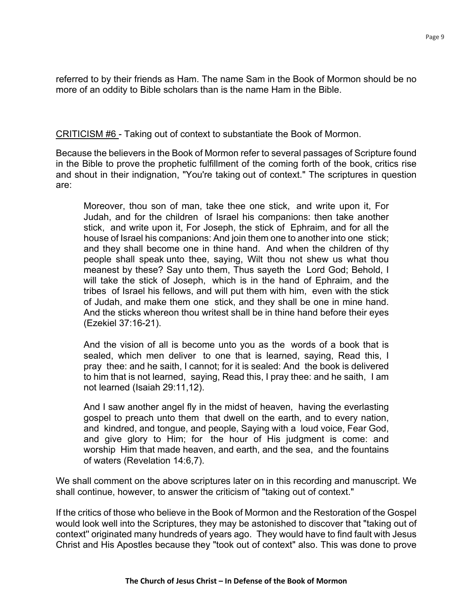referred to by their friends as Ham. The name Sam in the Book of Mormon should be no more of an oddity to Bible scholars than is the name Ham in the Bible.

CRITICISM #6 - Taking out of context to substantiate the Book of Mormon.

Because the believers in the Book of Mormon refer to several passages of Scripture found in the Bible to prove the prophetic fulfillment of the coming forth of the book, critics rise and shout in their indignation, "You're taking out of context." The scriptures in question are:

Moreover, thou son of man, take thee one stick, and write upon it, For Judah, and for the children of Israel his companions: then take another stick, and write upon it, For Joseph, the stick of Ephraim, and for all the house of Israel his companions: And join them one to another into one stick; and they shall become one in thine hand. And when the children of thy people shall speak unto thee, saying, Wilt thou not shew us what thou meanest by these? Say unto them, Thus sayeth the Lord God; Behold, I will take the stick of Joseph, which is in the hand of Ephraim, and the tribes of Israel his fellows, and will put them with him, even with the stick of Judah, and make them one stick, and they shall be one in mine hand. And the sticks whereon thou writest shall be in thine hand before their eyes (Ezekiel 37:16-21).

And the vision of all is become unto you as the words of a book that is sealed, which men deliver to one that is learned, saying, Read this, I pray thee: and he saith, I cannot; for it is sealed: And the book is delivered to him that is not learned, saying, Read this, I pray thee: and he saith, I am not learned (Isaiah 29:11,12).

And I saw another angel fly in the midst of heaven, having the everlasting gospel to preach unto them that dwell on the earth, and to every nation, and kindred, and tongue, and people, Saying with a loud voice, Fear God, and give glory to Him; for the hour of His judgment is come: and worship Him that made heaven, and earth, and the sea, and the fountains of waters (Revelation 14:6,7).

We shall comment on the above scriptures later on in this recording and manuscript. We shall continue, however, to answer the criticism of "taking out of context."

If the critics of those who believe in the Book of Mormon and the Restoration of the Gospel would look well into the Scriptures, they may be astonished to discover that "taking out of context'' originated many hundreds of years ago. They would have to find fault with Jesus Christ and His Apostles because they "took out of context" also. This was done to prove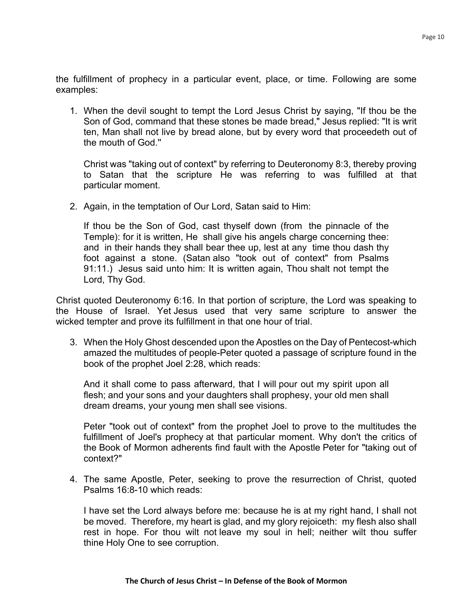the fulfillment of prophecy in a particular event, place, or time. Following are some examples:

1. When the devil sought to tempt the Lord Jesus Christ by saying, "If thou be the Son of God, command that these stones be made bread," Jesus replied: "It is writ ten, Man shall not live by bread alone, but by every word that proceedeth out of the mouth of God.''

Christ was "taking out of context" by referring to Deuteronomy 8:3, thereby proving to Satan that the scripture He was referring to was fulfilled at that particular moment.

2. Again, in the temptation of Our Lord, Satan said to Him:

If thou be the Son of God, cast thyself down (from the pinnacle of the Temple): for it is written, He shall give his angels charge concerning thee: and in their hands they shall bear thee up, lest at any time thou dash thy foot against a stone. (Satan also "took out of context" from Psalms 91:11.) Jesus said unto him: It is written again, Thou shalt not tempt the Lord, Thy God.

Christ quoted Deuteronomy 6:16. In that portion of scripture, the Lord was speaking to the House of Israel. Yet Jesus used that very same scripture to answer the wicked tempter and prove its fulfillment in that one hour of trial.

3. When the Holy Ghost descended upon the Apostles on the Day of Pentecost-which amazed the multitudes of people-Peter quoted a passage of scripture found in the book of the prophet Joel 2:28, which reads:

And it shall come to pass afterward, that I will pour out my spirit upon all flesh; and your sons and your daughters shall prophesy, your old men shall dream dreams, your young men shall see visions.

Peter "took out of context" from the prophet Joel to prove to the multitudes the fulfillment of Joel's prophecy at that particular moment. Why don't the critics of the Book of Mormon adherents find fault with the Apostle Peter for "taking out of context?"

4. The same Apostle, Peter, seeking to prove the resurrection of Christ, quoted Psalms 16:8-10 which reads:

I have set the Lord always before me: because he is at my right hand, I shall not be moved. Therefore, my heart is glad, and my glory rejoiceth: my flesh also shall rest in hope. For thou wilt not leave my soul in hell; neither wilt thou suffer thine Holy One to see corruption.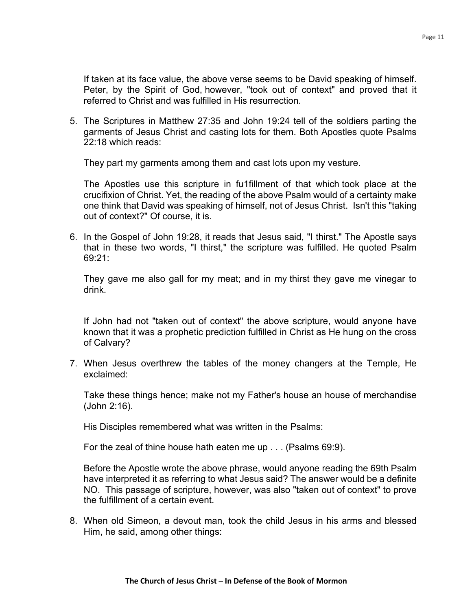If taken at its face value, the above verse seems to be David speaking of himself. Peter, by the Spirit of God, however, "took out of context" and proved that it referred to Christ and was fulfilled in His resurrection.

5. The Scriptures in Matthew 27:35 and John 19:24 tell of the soldiers parting the garments of Jesus Christ and casting lots for them. Both Apostles quote Psalms 22:18 which reads:

They part my garments among them and cast lots upon my vesture.

The Apostles use this scripture in fu1fillment of that which took place at the crucifixion of Christ. Yet, the reading of the above Psalm would of a certainty make one think that David was speaking of himself, not of Jesus Christ. Isn't this "taking out of context?" Of course, it is.

6. In the Gospel of John 19:28, it reads that Jesus said, "I thirst." The Apostle says that in these two words, "I thirst," the scripture was fulfilled. He quoted Psalm 69:21:

They gave me also gall for my meat; and in my thirst they gave me vinegar to drink.

If John had not "taken out of context" the above scripture, would anyone have known that it was a prophetic prediction fulfilled in Christ as He hung on the cross of Calvary?

7. When Jesus overthrew the tables of the money changers at the Temple, He exclaimed:

Take these things hence; make not my Father's house an house of merchandise (John 2:16).

His Disciples remembered what was written in the Psalms:

For the zeal of thine house hath eaten me up . . . (Psalms 69:9).

Before the Apostle wrote the above phrase, would anyone reading the 69th Psalm have interpreted it as referring to what Jesus said? The answer would be a definite NO. This passage of scripture, however, was also "taken out of context" to prove the fulfillment of a certain event.

8. When old Simeon, a devout man, took the child Jesus in his arms and blessed Him, he said, among other things: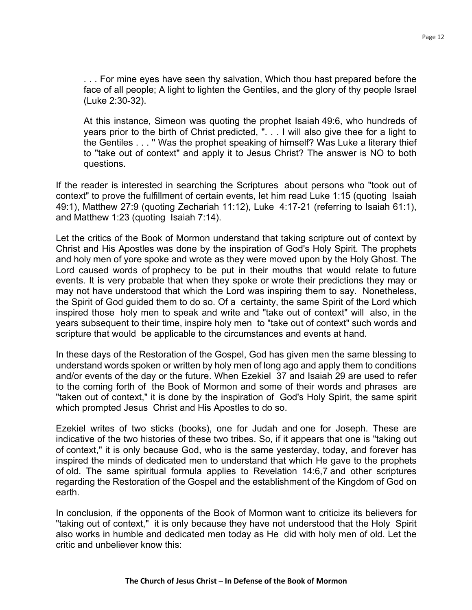. . . For mine eyes have seen thy salvation, Which thou hast prepared before the face of all people; A light to lighten the Gentiles, and the glory of thy people Israel (Luke 2:30-32).

At this instance, Simeon was quoting the prophet Isaiah 49:6, who hundreds of years prior to the birth of Christ predicted, ". . . I will also give thee for a light to the Gentiles . . . '' Was the prophet speaking of himself? Was Luke a literary thief to "take out of context" and apply it to Jesus Christ? The answer is NO to both questions.

If the reader is interested in searching the Scriptures about persons who "took out of context" to prove the fulfillment of certain events, let him read Luke 1:15 (quoting Isaiah 49:1), Matthew 27:9 (quoting Zechariah 11:12), Luke 4:17-21 (referring to Isaiah 61:1), and Matthew 1:23 (quoting Isaiah 7:14).

Let the critics of the Book of Mormon understand that taking scripture out of context by Christ and His Apostles was done by the inspiration of God's Holy Spirit. The prophets and holy men of yore spoke and wrote as they were moved upon by the Holy Ghost. The Lord caused words of prophecy to be put in their mouths that would relate to future events. It is very probable that when they spoke or wrote their predictions they may or may not have understood that which the Lord was inspiring them to say. Nonetheless, the Spirit of God guided them to do so. Of a certainty, the same Spirit of the Lord which inspired those holy men to speak and write and "take out of context" will also, in the years subsequent to their time, inspire holy men to "take out of context" such words and scripture that would be applicable to the circumstances and events at hand.

In these days of the Restoration of the Gospel, God has given men the same blessing to understand words spoken or written by holy men of long ago and apply them to conditions and/or events of the day or the future. When Ezekiel 37 and Isaiah 29 are used to refer to the coming forth of the Book of Mormon and some of their words and phrases are "taken out of context," it is done by the inspiration of God's Holy Spirit, the same spirit which prompted Jesus Christ and His Apostles to do so.

Ezekiel writes of two sticks (books), one for Judah and one for Joseph. These are indicative of the two histories of these two tribes. So, if it appears that one is "taking out of context,'' it is only because God, who is the same yesterday, today, and forever has inspired the minds of dedicated men to understand that which He gave to the prophets of old. The same spiritual formula applies to Revelation 14:6,7 and other scriptures regarding the Restoration of the Gospel and the establishment of the Kingdom of God on earth.

In conclusion, if the opponents of the Book of Mormon want to criticize its believers for "taking out of context," it is only because they have not understood that the Holy Spirit also works in humble and dedicated men today as He did with holy men of old. Let the critic and unbeliever know this: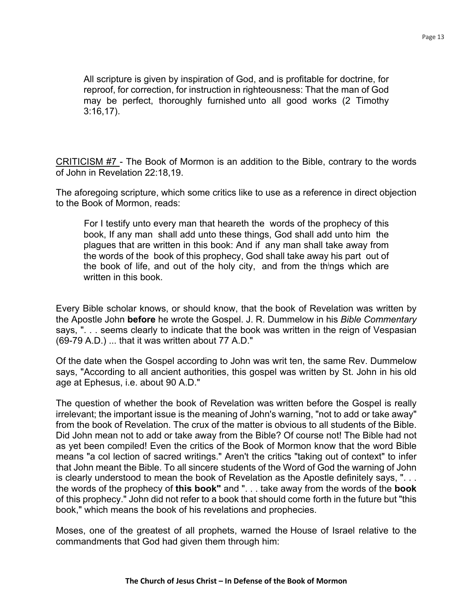All scripture is given by inspiration of God, and is profitable for doctrine, for reproof, for correction, for instruction in righteousness: That the man of God may be perfect, thoroughly furnished unto all good works (2 Timothy 3:16,17).

CRITICISM #7 - The Book of Mormon is an addition to the Bible, contrary to the words of John in Revelation 22:18,19.

The aforegoing scripture, which some critics like to use as a reference in direct objection to the Book of Mormon, reads:

For I testify unto every man that heareth the words of the prophecy of this book, If any man shall add unto these things, God shall add unto him the plagues that are written in this book: And if any man shall take away from the words of the book of this prophecy, God shall take away his part out of the book of life, and out of the holy city, and from the thi ngs which are written in this book.

Every Bible scholar knows, or should know, that the book of Revelation was written by the Apostle John **before** he wrote the Gospel. J. R. Dummelow in his *Bible Commentary* says, ". . . seems clearly to indicate that the book was written in the reign of Vespasian (69-79 A.D.) ... that it was written about 77 A.D."

Of the date when the Gospel according to John was writ ten, the same Rev. Dummelow says, "According to all ancient authorities, this gospel was written by St. John in his old age at Ephesus, i.e. about 90 A.D."

The question of whether the book of Revelation was written before the Gospel is really irrelevant; the important issue is the meaning of John's warning, "not to add or take away" from the book of Revelation. The crux of the matter is obvious to all students of the Bible. Did John mean not to add or take away from the Bible? Of course not! The Bible had not as yet been compiled! Even the critics of the Book of Mormon know that the word Bible means "a col lection of sacred writings." Aren't the critics "taking out of context" to infer that John meant the Bible. To all sincere students of the Word of God the warning of John is clearly understood to mean the book of Revelation as the Apostle definitely says, ". . . the words of the prophecy of **this book"** and ". . . take away from the words of the **book**  of this prophecy." John did not refer to a book that should come forth in the future but "this book," which means the book of his revelations and prophecies.

Moses, one of the greatest of all prophets, warned the House of Israel relative to the commandments that God had given them through him: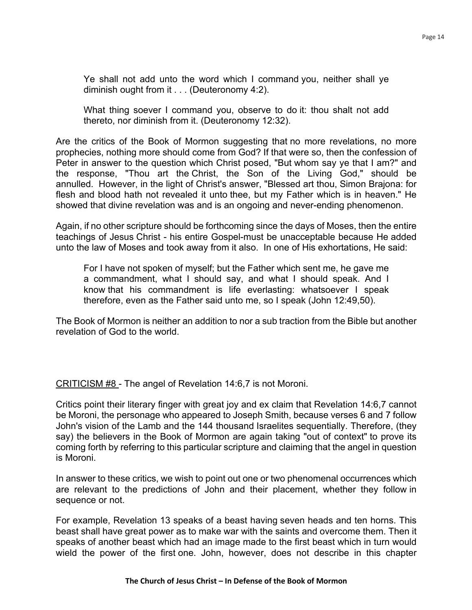Ye shall not add unto the word which I command you, neither shall ye diminish ought from it . . . (Deuteronomy 4:2).

What thing soever I command you, observe to do it: thou shalt not add thereto, nor diminish from it. (Deuteronomy 12:32).

Are the critics of the Book of Mormon suggesting that no more revelations, no more prophecies, nothing more should come from God? If that were so, then the confession of Peter in answer to the question which Christ posed, "But whom say ye that I am?" and the response, "Thou art the Christ, the Son of the Living God," should be annulled. However, in the light of Christ's answer, "Blessed art thou, Simon Brajona: for flesh and blood hath not revealed it unto thee, but my Father which is in heaven." He showed that divine revelation was and is an ongoing and never-ending phenomenon.

Again, if no other scripture should be forthcoming since the days of Moses, then the entire teachings of Jesus Christ - his entire Gospel-must be unacceptable because He added unto the law of Moses and took away from it also. In one of His exhortations, He said:

For I have not spoken of myself; but the Father which sent me, he gave me a commandment, what I should say, and what I should speak. And I know that his commandment is life everlasting: whatsoever I speak therefore, even as the Father said unto me, so I speak (John 12:49,50).

The Book of Mormon is neither an addition to nor a sub traction from the Bible but another revelation of God to the world.

CRITICISM #8 - The angel of Revelation 14:6,7 is not Moroni.

Critics point their literary finger with great joy and ex claim that Revelation 14:6,7 cannot be Moroni, the personage who appeared to Joseph Smith, because verses 6 and 7 follow John's vision of the Lamb and the 144 thousand Israelites sequentially. Therefore, (they say) the believers in the Book of Mormon are again taking "out of context" to prove its coming forth by referring to this particular scripture and claiming that the angel in question is Moroni.

In answer to these critics, we wish to point out one or two phenomenal occurrences which are relevant to the predictions of John and their placement, whether they follow in sequence or not.

For example, Revelation 13 speaks of a beast having seven heads and ten horns. This beast shall have great power as to make war with the saints and overcome them. Then it speaks of another beast which had an image made to the first beast which in turn would wield the power of the first one. John, however, does not describe in this chapter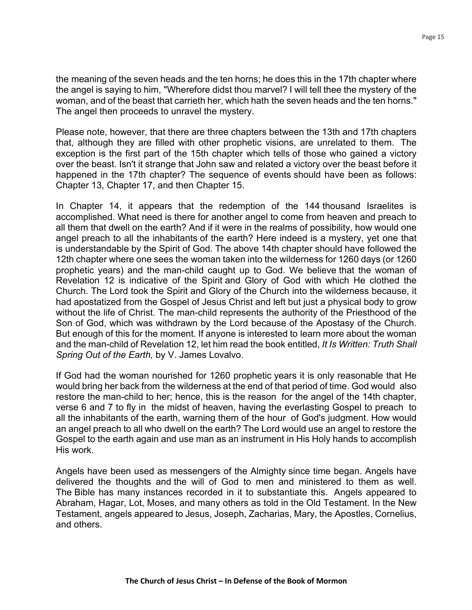the meaning of the seven heads and the ten horns; he does this in the 17th chapter where the angel is saying to him, "Wherefore didst thou marvel? I will tell thee the mystery of the woman, and of the beast that carrieth her, which hath the seven heads and the ten horns." The angel then proceeds to unravel the mystery.

Please note, however, that there are three chapters between the 13th and 17th chapters that, although they are filled with other prophetic visions, are unrelated to them. The exception is the first part of the 15th chapter which tells of those who gained a victory over the beast. Isn't it strange that John saw and related a victory over the beast before it happened in the 17th chapter? The sequence of events should have been as follows: Chapter 13, Chapter 17, and then Chapter 15.

In Chapter 14, it appears that the redemption of the 144 thousand Israelites is accomplished. What need is there for another angel to come from heaven and preach to all them that dwell on the earth? And if it were in the realms of possibility, how would one angel preach to all the inhabitants of the earth? Here indeed is a mystery, yet one that is understandable by the Spirit of God. The above 14th chapter should have followed the 12th chapter where one sees the woman taken into the wilderness for 1260 days (or 1260 prophetic years) and the man-child caught up to God. We believe that the woman of Revelation 12 is indicative of the Spirit and Glory of God with which He clothed the Church. The Lord took the Spirit and Glory of the Church into the wilderness because, it had apostatized from the Gospel of Jesus Christ and left but just a physical body to grow without the life of Christ. The man-child represents the authority of the Priesthood of the Son of God, which was withdrawn by the Lord because of the Apostasy of the Church. But enough of this for the moment. If anyone is interested to learn more about the woman and the man-child of Revelation 12, let him read the book entitled, *It Is Written: Truth Shall Spring Out of the Earth,* by V. James Lovalvo.

If God had the woman nourished for 1260 prophetic years it is only reasonable that He would bring her back from the wilderness at the end of that period of time. God would also restore the man-child to her; hence, this is the reason for the angel of the 14th chapter, verse 6 and 7 to fly in the midst of heaven, having the everlasting Gospel to preach to all the inhabitants of the earth, warning them of the hour of God's judgment. How would an angel preach to all who dwell on the earth? The Lord would use an angel to restore the Gospel to the earth again and use man as an instrument in His Holy hands to accomplish His work.

Angels have been used as messengers of the Almighty since time began. Angels have delivered the thoughts and the will of God to men and ministered to them as well. The Bible has many instances recorded in it to substantiate this. Angels appeared to Abraham, Hagar, Lot, Moses, and many others as told in the Old Testament. In the New Testament, angels appeared to Jesus, Joseph, Zacharias, Mary, the Apostles, Cornelius, and others.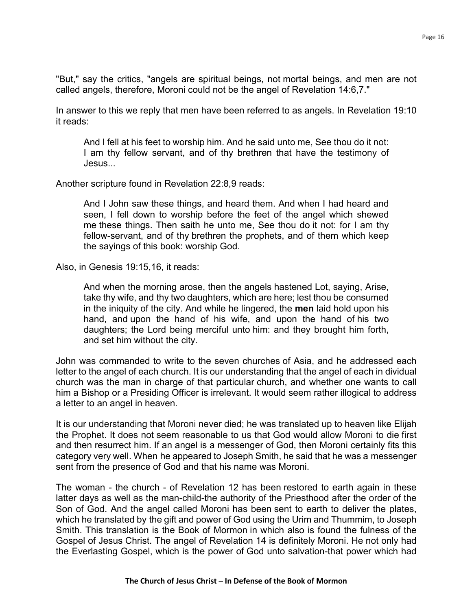"But," say the critics, "angels are spiritual beings, not mortal beings, and men are not called angels, therefore, Moroni could not be the angel of Revelation 14:6,7."

In answer to this we reply that men have been referred to as angels. In Revelation 19:10 it reads:

And I fell at his feet to worship him. And he said unto me, See thou do it not: I am thy fellow servant, and of thy brethren that have the testimony of Jesus...

Another scripture found in Revelation 22:8,9 reads:

And I John saw these things, and heard them. And when I had heard and seen, I fell down to worship before the feet of the angel which shewed me these things. Then saith he unto me, See thou do it not: for I am thy fellow-servant, and of thy brethren the prophets, and of them which keep the sayings of this book: worship God.

Also, in Genesis 19:15,16, it reads:

And when the morning arose, then the angels hastened Lot, saying, Arise, take thy wife, and thy two daughters, which are here; lest thou be consumed in the iniquity of the city. And while he lingered, the **men** laid hold upon his hand, and upon the hand of his wife, and upon the hand of his two daughters; the Lord being merciful unto him: and they brought him forth, and set him without the city.

John was commanded to write to the seven churches of Asia, and he addressed each letter to the angel of each church. It is our understanding that the angel of each in dividual church was the man in charge of that particular church, and whether one wants to call him a Bishop or a Presiding Officer is irrelevant. It would seem rather illogical to address a letter to an angel in heaven.

It is our understanding that Moroni never died; he was translated up to heaven like Elijah the Prophet. It does not seem reasonable to us that God would allow Moroni to die first and then resurrect him. If an angel is a messenger of God, then Moroni certainly fits this category very well. When he appeared to Joseph Smith, he said that he was a messenger sent from the presence of God and that his name was Moroni.

The woman - the church - of Revelation 12 has been restored to earth again in these latter days as well as the man-child-the authority of the Priesthood after the order of the Son of God. And the angel called Moroni has been sent to earth to deliver the plates, which he translated by the gift and power of God using the Urim and Thummim, to Joseph Smith. This translation is the Book of Mormon in which also is found the fulness of the Gospel of Jesus Christ. The angel of Revelation 14 is definitely Moroni. He not only had the Everlasting Gospel, which is the power of God unto salvation-that power which had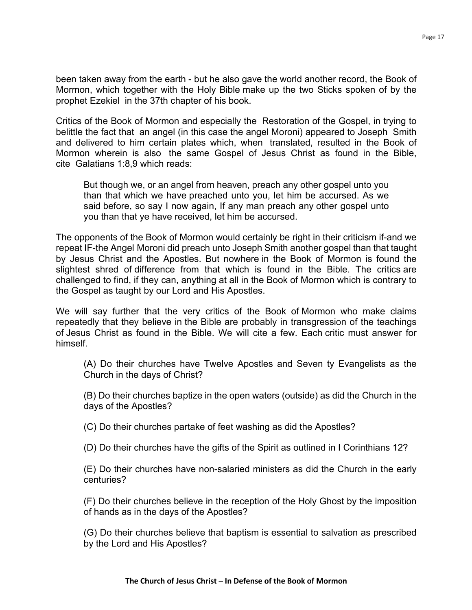Page 17

been taken away from the earth - but he also gave the world another record, the Book of Mormon, which together with the Holy Bible make up the two Sticks spoken of by the prophet Ezekiel in the 37th chapter of his book.

Critics of the Book of Mormon and especially the Restoration of the Gospel, in trying to belittle the fact that an angel (in this case the angel Moroni) appeared to Joseph Smith and delivered to him certain plates which, when translated, resulted in the Book of Mormon wherein is also the same Gospel of Jesus Christ as found in the Bible, cite Galatians 1:8,9 which reads:

But though we, or an angel from heaven, preach any other gospel unto you than that which we have preached unto you, let him be accursed. As we said before, so say I now again, If any man preach any other gospel unto you than that ye have received, let him be accursed.

The opponents of the Book of Mormon would certainly be right in their criticism if-and we repeat IF-the Angel Moroni did preach unto Joseph Smith another gospel than that taught by Jesus Christ and the Apostles. But nowhere in the Book of Mormon is found the slightest shred of difference from that which is found in the Bible. The critics are challenged to find, if they can, anything at all in the Book of Mormon which is contrary to the Gospel as taught by our Lord and His Apostles.

We will say further that the very critics of the Book of Mormon who make claims repeatedly that they believe in the Bible are probably in transgression of the teachings of Jesus Christ as found in the Bible. We will cite a few. Each critic must answer for himself.

(A) Do their churches have Twelve Apostles and Seven ty Evangelists as the Church in the days of Christ?

(B) Do their churches baptize in the open waters (outside) as did the Church in the days of the Apostles?

(C) Do their churches partake of feet washing as did the Apostles?

(D) Do their churches have the gifts of the Spirit as outlined in I Corinthians 12?

(E) Do their churches have non-salaried ministers as did the Church in the early centuries?

(F) Do their churches believe in the reception of the Holy Ghost by the imposition of hands as in the days of the Apostles?

(G) Do their churches believe that baptism is essential to salvation as prescribed by the Lord and His Apostles?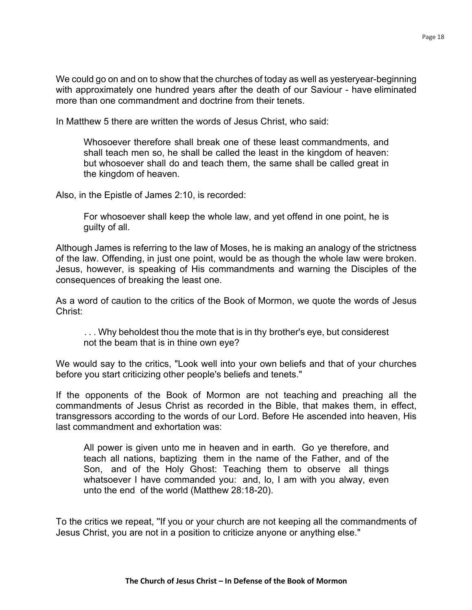We could go on and on to show that the churches of today as well as yesteryear-beginning with approximately one hundred years after the death of our Saviour - have eliminated more than one commandment and doctrine from their tenets.

In Matthew 5 there are written the words of Jesus Christ, who said:

Whosoever therefore shall break one of these least commandments, and shall teach men so, he shall be called the least in the kingdom of heaven: but whosoever shall do and teach them, the same shall be called great in the kingdom of heaven.

Also, in the Epistle of James 2:10, is recorded:

For whosoever shall keep the whole law, and yet offend in one point, he is guilty of all.

Although James is referring to the law of Moses, he is making an analogy of the strictness of the law. Offending, in just one point, would be as though the whole law were broken. Jesus, however, is speaking of His commandments and warning the Disciples of the consequences of breaking the least one.

As a word of caution to the critics of the Book of Mormon, we quote the words of Jesus Christ:

... Why beholdest thou the mote that is in thy brother's eye, but considerest not the beam that is in thine own eye?

We would say to the critics, "Look well into your own beliefs and that of your churches before you start criticizing other people's beliefs and tenets."

If the opponents of the Book of Mormon are not teaching and preaching all the commandments of Jesus Christ as recorded in the Bible, that makes them, in effect, transgressors according to the words of our Lord. Before He ascended into heaven, His last commandment and exhortation was:

All power is given unto me in heaven and in earth. Go ye therefore, and teach all nations, baptizing them in the name of the Father, and of the Son, and of the Holy Ghost: Teaching them to observe all things whatsoever I have commanded you: and, lo, I am with you alway, even unto the end of the world (Matthew 28:18-20).

To the critics we repeat, ''If you or your church are not keeping all the commandments of Jesus Christ, you are not in a position to criticize anyone or anything else."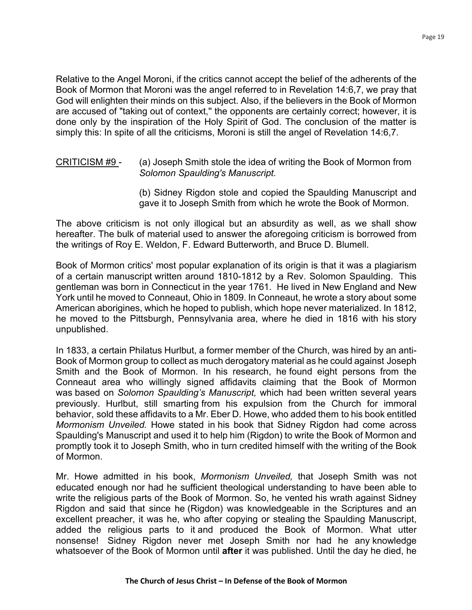Relative to the Angel Moroni, if the critics cannot accept the belief of the adherents of the Book of Mormon that Moroni was the angel referred to in Revelation 14:6,7, we pray that God will enlighten their minds on this subject. Also, if the believers in the Book of Mormon are accused of "taking out of context,'' the opponents are certainly correct; however, it is done only by the inspiration of the Holy Spirit of God. The conclusion of the matter is simply this: In spite of all the criticisms, Moroni is still the angel of Revelation 14:6,7.

# CRITICISM #9 - (a) Joseph Smith stole the idea of writing the Book of Mormon from *Solomon Spaulding's Manuscript.*

(b) Sidney Rigdon stole and copied the Spaulding Manuscript and gave it to Joseph Smith from which he wrote the Book of Mormon.

The above criticism is not only illogical but an absurdity as well, as we shall show hereafter. The bulk of material used to answer the aforegoing criticism is borrowed from the writings of Roy E. Weldon, F. Edward Butterworth, and Bruce D. Blumell.

Book of Mormon critics' most popular explanation of its origin is that it was a plagiarism of a certain manuscript written around 1810-1812 by a Rev. Solomon Spaulding. This gentleman was born in Connecticut in the year 1761. He lived in New England and New York until he moved to Conneaut, Ohio in 1809. In Conneaut, he wrote a story about some American aborigines, which he hoped to publish, which hope never materialized. In 1812, he moved to the Pittsburgh, Pennsylvania area, where he died in 1816 with his story unpublished.

In 1833, a certain Philatus Hurlbut, a former member of the Church, was hired by an anti-Book of Mormon group to collect as much derogatory material as he could against Joseph Smith and the Book of Mormon. In his research, he found eight persons from the Conneaut area who willingly signed affidavits claiming that the Book of Mormon was based on *Solomon Spaulding's Manuscript,* which had been written several years previously. Hurlbut, still smarting from his expulsion from the Church for immoral behavior, sold these affidavits to a Mr. Eber D. Howe, who added them to his book entitled *Mormonism Unveiled.* Howe stated in his book that Sidney Rigdon had come across Spaulding's Manuscript and used it to help him (Rigdon) to write the Book of Mormon and promptly took it to Joseph Smith, who in turn credited himself with the writing of the Book of Mormon.

Mr. Howe admitted in his book, *Mormonism Unveiled,* that Joseph Smith was not educated enough nor had he sufficient theological understanding to have been able to write the religious parts of the Book of Mormon. So, he vented his wrath against Sidney Rigdon and said that since he (Rigdon) was knowledgeable in the Scriptures and an excellent preacher, it was he, who after copying or stealing the Spaulding Manuscript, added the religious parts to it and produced the Book of Mormon. What utter nonsense! Sidney Rigdon never met Joseph Smith nor had he any knowledge whatsoever of the Book of Mormon until **after** it was published. Until the day he died, he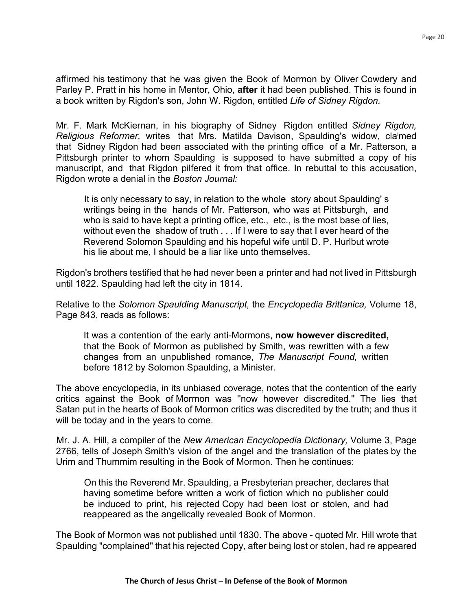affirmed his testimony that he was given the Book of Mormon by Oliver Cowdery and Parley P. Pratt in his home in Mentor, Ohio, **after** it had been published. This is found in a book written by Rigdon's son, John W. Rigdon, entitled *Life of Sidney Rigdon.*

Mr. F. Mark McKiernan, in his biography of Sidney Rigdon entitled *Sidney Rigdon,*  Religious Reformer, writes that Mrs. Matilda Davison, Spaulding's widow, claimed that Sidney Rigdon had been associated with the printing office of a Mr. Patterson, a Pittsburgh printer to whom Spaulding is supposed to have submitted a copy of his manuscript, and that Rigdon pilfered it from that office. In rebuttal to this accusation, Rigdon wrote a denial in the *Boston Journal:*

It is only necessary to say, in relation to the whole story about Spaulding' s writings being in the hands of Mr. Patterson, who was at Pittsburgh, and who is said to have kept a printing office, etc., etc., is the most base of lies, without even the shadow of truth . . . If I were to say that I ever heard of the Reverend Solomon Spaulding and his hopeful wife until D. P. Hurlbut wrote his lie about me, I should be a liar like unto themselves.

Rigdon's brothers testified that he had never been a printer and had not lived in Pittsburgh until 1822. Spaulding had left the city in 1814.

Relative to the *Solomon Spaulding Manuscript,* the *Encyclopedia Brittanica,* Volume 18, Page 843, reads as follows:

It was a contention of the early anti-Mormons, **now however discredited,**  that the Book of Mormon as published by Smith, was rewritten with a few changes from an unpublished romance, *The Manuscript Found,* written before 1812 by Solomon Spaulding, a Minister.

The above encyclopedia, in its unbiased coverage, notes that the contention of the early critics against the Book of Mormon was ''now however discredited.'' The lies that Satan put in the hearts of Book of Mormon critics was discredited by the truth; and thus it will be today and in the years to come.

Mr. J. A. Hill, a compiler of the *New American Encyclopedia Dictionary,* Volume 3, Page 2766, tells of Joseph Smith's vision of the angel and the translation of the plates by the Urim and Thummim resulting in the Book of Mormon. Then he continues:

On this the Reverend Mr. Spaulding, a Presbyterian preacher, declares that having sometime before written a work of fiction which no publisher could be induced to print, his rejected Copy had been lost or stolen, and had reappeared as the angelically revealed Book of Mormon.

The Book of Mormon was not published until 1830. The above - quoted Mr. Hill wrote that Spaulding "complained" that his rejected Copy, after being lost or stolen, had re appeared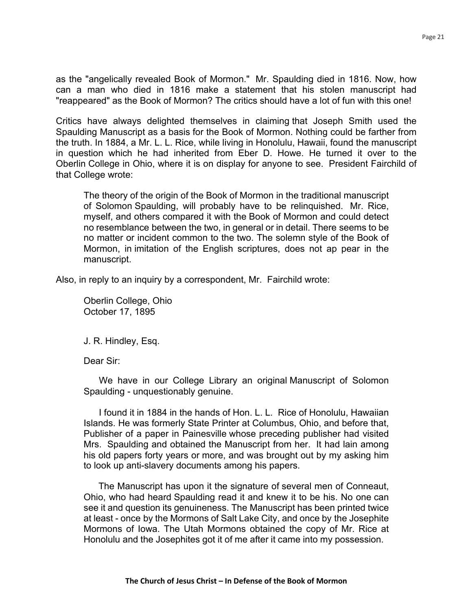as the "angelically revealed Book of Mormon." Mr. Spaulding died in 1816. Now, how can a man who died in 1816 make a statement that his stolen manuscript had "reappeared" as the Book of Mormon? The critics should have a lot of fun with this one!

Critics have always delighted themselves in claiming that Joseph Smith used the Spaulding Manuscript as a basis for the Book of Mormon. Nothing could be farther from the truth. In 1884, a Mr. L. L. Rice, while living in Honolulu, Hawaii, found the manuscript in question which he had inherited from Eber D. Howe. He turned it over to the Oberlin College in Ohio, where it is on display for anyone to see. President Fairchild of that College wrote:

The theory of the origin of the Book of Mormon in the traditional manuscript of Solomon Spaulding, will probably have to be relinquished. Mr. Rice, myself, and others compared it with the Book of Mormon and could detect no resemblance between the two, in general or in detail. There seems to be no matter or incident common to the two. The solemn style of the Book of Mormon, in imitation of the English scriptures, does not ap pear in the manuscript.

Also, in reply to an inquiry by a correspondent, Mr. Fairchild wrote:

Oberlin College, Ohio October 17, 1895

J. R. Hindley, Esq.

Dear Sir:

We have in our College Library an original Manuscript of Solomon Spaulding - unquestionably genuine.

I found it in 1884 in the hands of Hon. L. L. Rice of Honolulu, Hawaiian Islands. He was formerly State Printer at Columbus, Ohio, and before that, Publisher of a paper in Painesville whose preceding publisher had visited Mrs. Spaulding and obtained the Manuscript from her. It had lain among his old papers forty years or more, and was brought out by my asking him to look up anti-slavery documents among his papers.

The Manuscript has upon it the signature of several men of Conneaut, Ohio, who had heard Spaulding read it and knew it to be his. No one can see it and question its genuineness. The Manuscript has been printed twice at least - once by the Mormons of Salt Lake City, and once by the Josephite Mormons of Iowa. The Utah Mormons obtained the copy of Mr. Rice at Honolulu and the Josephites got it of me after it came into my possession.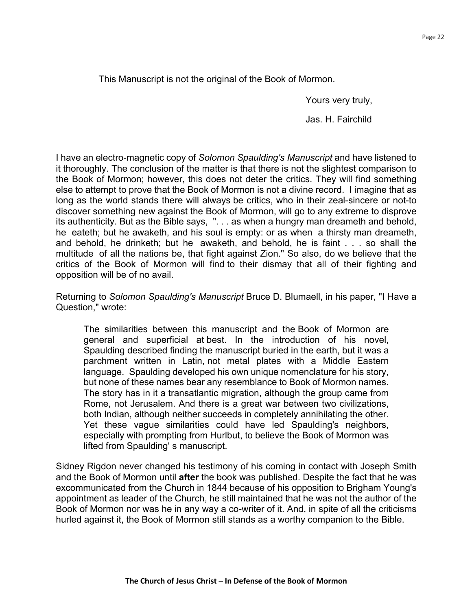This Manuscript is not the original of the Book of Mormon.

Yours very truly,

Jas. H. Fairchild

I have an electro-magnetic copy of *Solomon Spaulding's Manuscript* and have listened to it thoroughly. The conclusion of the matter is that there is not the slightest comparison to the Book of Mormon; however, this does not deter the critics. They will find something else to attempt to prove that the Book of Mormon is not a divine record. I imagine that as long as the world stands there will always be critics, who in their zeal-sincere or not-to discover something new against the Book of Mormon, will go to any extreme to disprove its authenticity. But as the Bible says, ". . . as when a hungry man dreameth and behold, he eateth; but he awaketh, and his soul is empty: or as when a thirsty man dreameth, and behold, he drinketh; but he awaketh, and behold, he is faint . . . so shall the multitude of all the nations be, that fight against Zion." So also, do we believe that the critics of the Book of Mormon will find to their dismay that all of their fighting and opposition will be of no avail.

Returning to *Solomon Spaulding's Manuscript* Bruce D. Blumaell, in his paper, "I Have a Question," wrote:

The similarities between this manuscript and the Book of Mormon are general and superficial at best. In the introduction of his novel, Spaulding described finding the manuscript buried in the earth, but it was a parchment written in Latin, not metal plates with a Middle Eastern language. Spaulding developed his own unique nomenclature for his story, but none of these names bear any resemblance to Book of Mormon names. The story has in it a transatlantic migration, although the group came from Rome, not Jerusalem. And there is a great war between two civilizations, both Indian, although neither succeeds in completely annihilating the other. Yet these vague similarities could have led Spaulding's neighbors, especially with prompting from Hurlbut, to believe the Book of Mormon was lifted from Spaulding' s manuscript.

Sidney Rigdon never changed his testimony of his coming in contact with Joseph Smith and the Book of Mormon until **after** the book was published. Despite the fact that he was excommunicated from the Church in 1844 because of his opposition to Brigham Young's appointment as leader of the Church, he still maintained that he was not the author of the Book of Mormon nor was he in any way a co-writer of it. And, in spite of all the criticisms hurled against it, the Book of Mormon still stands as a worthy companion to the Bible.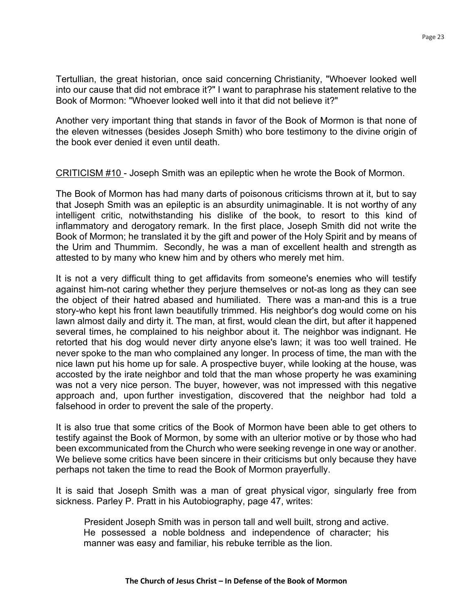Tertullian, the great historian, once said concerning Christianity, "Whoever looked well into our cause that did not embrace it?" I want to paraphrase his statement relative to the Book of Mormon: "Whoever looked well into it that did not believe it?"

Another very important thing that stands in favor of the Book of Mormon is that none of the eleven witnesses (besides Joseph Smith) who bore testimony to the divine origin of the book ever denied it even until death.

CRITICISM #10 - Joseph Smith was an epileptic when he wrote the Book of Mormon.

The Book of Mormon has had many darts of poisonous criticisms thrown at it, but to say that Joseph Smith was an epileptic is an absurdity unimaginable. It is not worthy of any intelligent critic, notwithstanding his dislike of the book, to resort to this kind of inflammatory and derogatory remark. In the first place, Joseph Smith did not write the Book of Mormon; he translated it by the gift and power of the Holy Spirit and by means of the Urim and Thummim. Secondly, he was a man of excellent health and strength as attested to by many who knew him and by others who merely met him.

It is not a very difficult thing to get affidavits from someone's enemies who will testify against him-not caring whether they perjure themselves or not-as long as they can see the object of their hatred abased and humiliated. There was a man-and this is a true story-who kept his front lawn beautifully trimmed. His neighbor's dog would come on his lawn almost daily and dirty it. The man, at first, would clean the dirt, but after it happened several times, he complained to his neighbor about it. The neighbor was indignant. He retorted that his dog would never dirty anyone else's lawn; it was too well trained. He never spoke to the man who complained any longer. In process of time, the man with the nice lawn put his home up for sale. A prospective buyer, while looking at the house, was accosted by the irate neighbor and told that the man whose property he was examining was not a very nice person. The buyer, however, was not impressed with this negative approach and, upon further investigation, discovered that the neighbor had told a falsehood in order to prevent the sale of the property.

It is also true that some critics of the Book of Mormon have been able to get others to testify against the Book of Mormon, by some with an ulterior motive or by those who had been excommunicated from the Church who were seeking revenge in one way or another. We believe some critics have been sincere in their criticisms but only because they have perhaps not taken the time to read the Book of Mormon prayerfully.

It is said that Joseph Smith was a man of great physical vigor, singularly free from sickness. Parley P. Pratt in his Autobiography, page 47, writes:

President Joseph Smith was in person tall and well built, strong and active. He possessed a noble boldness and independence of character; his manner was easy and familiar, his rebuke terrible as the lion.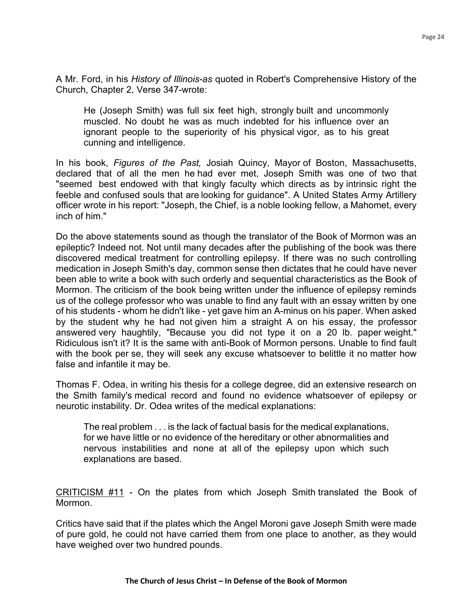A Mr. Ford, in his *History of Illinois-as* quoted in Robert's Comprehensive History of the Church, Chapter 2, Verse 347-wrote:

He (Joseph Smith) was full six feet high, strongly built and uncommonly muscled. No doubt he was as much indebted for his influence over an ignorant people to the superiority of his physical vigor, as to his great cunning and intelligence.

In his book, *Figures of the Past,* Josiah Quincy, Mayor of Boston, Massachusetts, declared that of all the men he had ever met, Joseph Smith was one of two that "seemed best endowed with that kingly faculty which directs as by intrinsic right the feeble and confused souls that are looking for guidance". A United States Army Artillery officer wrote in his report: "Joseph, the Chief, is a noble looking fellow, a Mahomet, every inch of him."

Do the above statements sound as though the translator of the Book of Mormon was an epileptic? Indeed not. Not until many decades after the publishing of the book was there discovered medical treatment for controlling epilepsy. If there was no such controlling medication in Joseph Smith's day, common sense then dictates that he could have never been able to write a book with such orderly and sequential characteristics as the Book of Mormon. The criticism of the book being written under the influence of epilepsy reminds us of the college professor who was unable to find any fault with an essay written by one of his students - whom he didn't like - yet gave him an A-minus on his paper. When asked by the student why he had not given him a straight A on his essay, the professor answered very haughtily, "Because you did not type it on a 20 lb. paper weight." Ridiculous isn't it? It is the same with anti-Book of Mormon persons. Unable to find fault with the book per se, they will seek any excuse whatsoever to belittle it no matter how false and infantile it may be.

Thomas F. Odea, in writing his thesis for a college degree, did an extensive research on the Smith family's medical record and found no evidence whatsoever of epilepsy or neurotic instability. Dr. Odea writes of the medical explanations:

The real problem . . . is the lack of factual basis for the medical explanations, for we have little or no evidence of the hereditary or other abnormalities and nervous instabilities and none at all of the epilepsy upon which such explanations are based.

CRITICISM #11 - On the plates from which Joseph Smith translated the Book of Mormon.

Critics have said that if the plates which the Angel Moroni gave Joseph Smith were made of pure gold, he could not have carried them from one place to another, as they would have weighed over two hundred pounds.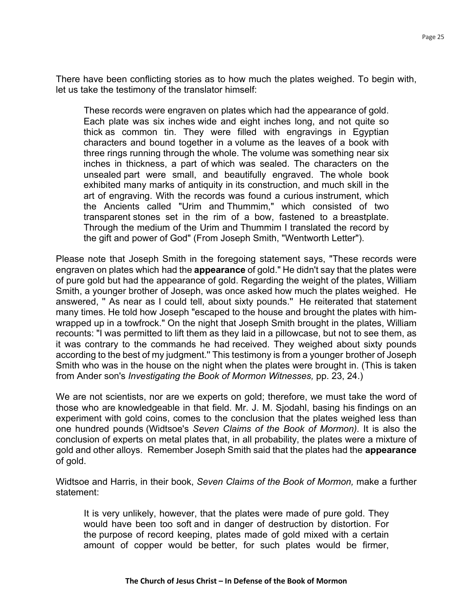There have been conflicting stories as to how much the plates weighed. To begin with, let us take the testimony of the translator himself:

These records were engraven on plates which had the appearance of gold. Each plate was six inches wide and eight inches long, and not quite so thick as common tin. They were filled with engravings in Egyptian characters and bound together in a volume as the leaves of a book with three rings running through the whole. The volume was something near six inches in thickness, a part of which was sealed. The characters on the unsealed part were small, and beautifully engraved. The whole book exhibited many marks of antiquity in its construction, and much skill in the art of engraving. With the records was found a curious instrument, which the Ancients called "Urim and Thummim," which consisted of two transparent stones set in the rim of a bow, fastened to a breastplate. Through the medium of the Urim and Thummim I translated the record by the gift and power of God" (From Joseph Smith, "Wentworth Letter").

Please note that Joseph Smith in the foregoing statement says, "These records were engraven on plates which had the **appearance** of gold." He didn't say that the plates were of pure gold but had the appearance of gold. Regarding the weight of the plates, William Smith, a younger brother of Joseph, was once asked how much the plates weighed. He answered, '' As near as I could tell, about sixty pounds.'' He reiterated that statement many times. He told how Joseph "escaped to the house and brought the plates with himwrapped up in a towfrock." On the night that Joseph Smith brought in the plates, William recounts: "I was permitted to lift them as they laid in a pillowcase, but not to see them, as it was contrary to the commands he had received. They weighed about sixty pounds according to the best of my judgment.'' This testimony is from a younger brother of Joseph Smith who was in the house on the night when the plates were brought in. (This is taken from Ander son's *Investigating the Book of Mormon Witnesses,* pp. 23, 24.)

We are not scientists, nor are we experts on gold; therefore, we must take the word of those who are knowledgeable in that field. Mr. J. M. Sjodahl, basing his findings on an experiment with gold coins, comes to the conclusion that the plates weighed less than one hundred pounds (Widtsoe's *Seven Claims of the Book of Mormon).* It is also the conclusion of experts on metal plates that, in all probability, the plates were a mixture of gold and other alloys. Remember Joseph Smith said that the plates had the **appearance**  of gold.

Widtsoe and Harris, in their book, *Seven Claims of the Book of Mormon,* make a further statement:

It is very unlikely, however, that the plates were made of pure gold. They would have been too soft and in danger of destruction by distortion. For the purpose of record keeping, plates made of gold mixed with a certain amount of copper would be better, for such plates would be firmer,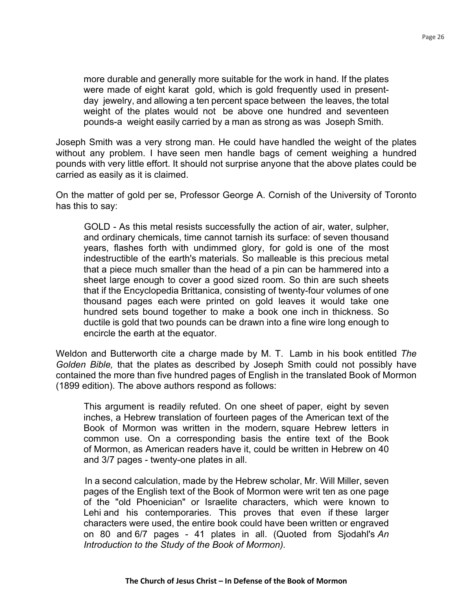more durable and generally more suitable for the work in hand. If the plates were made of eight karat gold, which is gold frequently used in presentday jewelry, and allowing a ten percent space between the leaves, the total weight of the plates would not be above one hundred and seventeen pounds-a weight easily carried by a man as strong as was Joseph Smith.

Joseph Smith was a very strong man. He could have handled the weight of the plates without any problem. I have seen men handle bags of cement weighing a hundred pounds with very little effort. It should not surprise anyone that the above plates could be carried as easily as it is claimed.

On the matter of gold per se, Professor George A. Cornish of the University of Toronto has this to say:

GOLD - As this metal resists successfully the action of air, water, sulpher, and ordinary chemicals, time cannot tarnish its surface: of seven thousand years, flashes forth with undimmed glory, for gold is one of the most indestructible of the earth's materials. So malleable is this precious metal that a piece much smaller than the head of a pin can be hammered into a sheet large enough to cover a good sized room. So thin are such sheets that if the Encyclopedia Brittanica, consisting of twenty-four volumes of one thousand pages each were printed on gold leaves it would take one hundred sets bound together to make a book one inch in thickness. So ductile is gold that two pounds can be drawn into a fine wire long enough to encircle the earth at the equator.

Weldon and Butterworth cite a charge made by M. T. Lamb in his book entitled *The Golden Bible,* that the plates as described by Joseph Smith could not possibly have contained the more than five hundred pages of English in the translated Book of Mormon (1899 edition). The above authors respond as follows:

This argument is readily refuted. On one sheet of paper, eight by seven inches, a Hebrew translation of fourteen pages of the American text of the Book of Mormon was written in the modern, square Hebrew letters in common use. On a corresponding basis the entire text of the Book of Mormon, as American readers have it, could be written in Hebrew on 40 and 3/7 pages - twenty-one plates in all.

In a second calculation, made by the Hebrew scholar, Mr. Will Miller, seven pages of the English text of the Book of Mormon were writ ten as one page of the "old Phoenician" or Israelite characters, which were known to Lehi and his contemporaries. This proves that even if these larger characters were used, the entire book could have been written or engraved on 80 and 6/7 pages - 41 plates in all. (Quoted from Sjodahl's *An Introduction to the Study of the Book of Mormon).*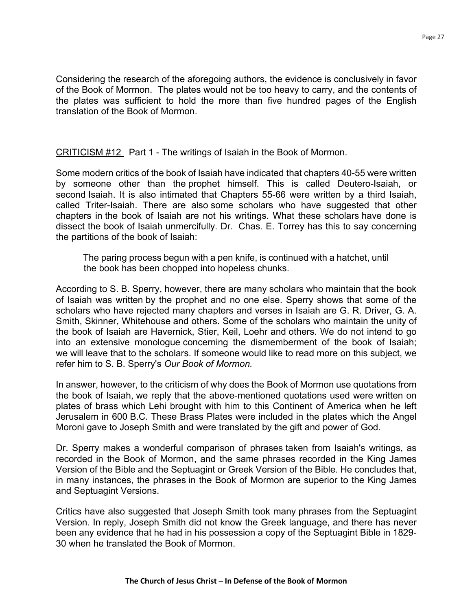Considering the research of the aforegoing authors, the evidence is conclusively in favor of the Book of Mormon. The plates would not be too heavy to carry, and the contents of the plates was sufficient to hold the more than five hundred pages of the English translation of the Book of Mormon.

CRITICISM #12 Part 1 - The writings of Isaiah in the Book of Mormon.

Some modern critics of the book of Isaiah have indicated that chapters 40-55 were written by someone other than the prophet himself. This is called Deutero-Isaiah, or second Isaiah. It is also intimated that Chapters 55-66 were written by a third Isaiah, called Triter-Isaiah. There are also some scholars who have suggested that other chapters in the book of Isaiah are not his writings. What these scholars have done is dissect the book of Isaiah unmercifully. Dr. Chas. E. Torrey has this to say concerning the partitions of the book of Isaiah:

The paring process begun with a pen knife, is continued with a hatchet, until the book has been chopped into hopeless chunks.

According to S. B. Sperry, however, there are many scholars who maintain that the book of Isaiah was written by the prophet and no one else. Sperry shows that some of the scholars who have rejected many chapters and verses in Isaiah are G. R. Driver, G. A. Smith, Skinner, Whitehouse and others. Some of the scholars who maintain the unity of the book of Isaiah are Havernick, Stier, Keil, Loehr and others. We do not intend to go into an extensive monologue concerning the dismemberment of the book of Isaiah; we will leave that to the scholars. If someone would like to read more on this subject, we refer him to S. B. Sperry's *Our Book of Mormon.*

In answer, however, to the criticism of why does the Book of Mormon use quotations from the book of Isaiah, we reply that the above-mentioned quotations used were written on plates of brass which Lehi brought with him to this Continent of America when he left Jerusalem in 600 B.C. These Brass Plates were included in the plates which the Angel Moroni gave to Joseph Smith and were translated by the gift and power of God.

Dr. Sperry makes a wonderful comparison of phrases taken from Isaiah's writings, as recorded in the Book of Mormon, and the same phrases recorded in the King James Version of the Bible and the Septuagint or Greek Version of the Bible. He concludes that, in many instances, the phrases in the Book of Mormon are superior to the King James and Septuagint Versions.

Critics have also suggested that Joseph Smith took many phrases from the Septuagint Version. In reply, Joseph Smith did not know the Greek language, and there has never been any evidence that he had in his possession a copy of the Septuagint Bible in 1829- 30 when he translated the Book of Mormon.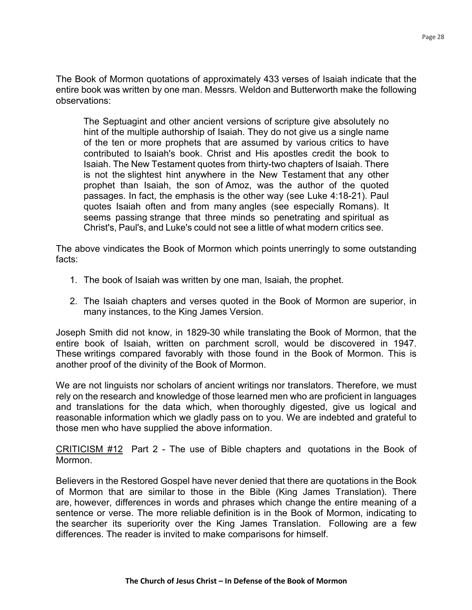The Book of Mormon quotations of approximately 433 verses of Isaiah indicate that the entire book was written by one man. Messrs. Weldon and Butterworth make the following observations:

The Septuagint and other ancient versions of scripture give absolutely no hint of the multiple authorship of Isaiah. They do not give us a single name of the ten or more prophets that are assumed by various critics to have contributed to Isaiah's book. Christ and His apostles credit the book to Isaiah. The New Testament quotes from thirty-two chapters of Isaiah. There is not the slightest hint anywhere in the New Testament that any other prophet than Isaiah, the son of Amoz, was the author of the quoted passages. In fact, the emphasis is the other way (see Luke 4:18-21). Paul quotes Isaiah often and from many angles (see especially Romans). It seems passing strange that three minds so penetrating and spiritual as Christ's, Paul's, and Luke's could not see a little of what modern critics see.

The above vindicates the Book of Mormon which points unerringly to some outstanding facts:

- 1. The book of Isaiah was written by one man, Isaiah, the prophet.
- 2. The Isaiah chapters and verses quoted in the Book of Mormon are superior, in many instances, to the King James Version.

Joseph Smith did not know, in 1829-30 while translating the Book of Mormon, that the entire book of Isaiah, written on parchment scroll, would be discovered in 1947. These writings compared favorably with those found in the Book of Mormon. This is another proof of the divinity of the Book of Mormon.

We are not linguists nor scholars of ancient writings nor translators. Therefore, we must rely on the research and knowledge of those learned men who are proficient in languages and translations for the data which, when thoroughly digested, give us logical and reasonable information which we gladly pass on to you. We are indebted and grateful to those men who have supplied the above information.

CRITICISM #12 Part 2 - The use of Bible chapters and quotations in the Book of Mormon.

Believers in the Restored Gospel have never denied that there are quotations in the Book of Mormon that are similar to those in the Bible (King James Translation). There are, however, differences in words and phrases which change the entire meaning of a sentence or verse. The more reliable definition is in the Book of Mormon, indicating to the searcher its superiority over the King James Translation. Following are a few differences. The reader is invited to make comparisons for himself.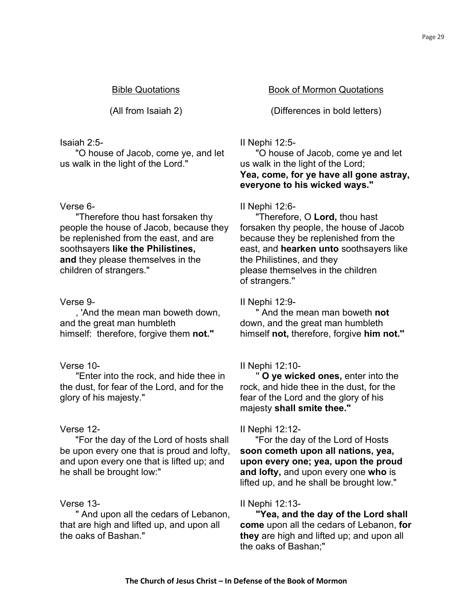# Isaiah 2:5-

 "O house of Jacob, come ye, and let us walk in the light of the Lord."

#### Verse 6-

"Therefore thou hast forsaken thy people the house of Jacob, because they be replenished from the east, and are soothsayers **like the Philistines, and** they please themselves in the children of strangers."

# Verse 9-

, 'And the mean man boweth down, and the great man humbleth himself: therefore, forgive them **not."**

# Verse 10-

"Enter into the rock, and hide thee in the dust, for fear of the Lord, and for the glory of his majesty."

# Verse 12-

"For the day of the Lord of hosts shall be upon every one that is proud and lofty, and upon every one that is lifted up; and he shall be brought low:"

# Verse 13-

" And upon all the cedars of Lebanon, that are high and lifted up, and upon all the oaks of Bashan."

### Bible Quotations Book of Mormon Quotations

(All from Isaiah 2) (Differences in bold letters)

### II Nephi 12:5-

"O house of Jacob, come ye and let us walk in the light of the Lord; **Yea, come, for ye have all gone astray, everyone to his wicked ways."**

# II Nephi 12:6-

"Therefore, O **Lord,** thou hast forsaken thy people, the house of Jacob because they be replenished from the east, and **hearken unto** soothsayers like the Philistines, and they please themselves in the children of strangers.''

### II Nephi 12:9-

" And the mean man boweth **not**  down, and the great man humbleth himself **not,** therefore, forgive **him not.''**

#### II Nephi 12:10-

'' **O ye wicked ones,** enter into the rock, and hide thee in the dust, for the fear of the Lord and the glory of his majesty **shall smite thee."**

#### II Nephi 12:12-

"For the day of the Lord of Hosts **soon cometh upon all nations, yea, upon every one; yea, upon the proud and lofty,** and upon every one **who** is lifted up, and he shall be brought low."

#### II Nephi 12:13-

**"Yea, and the day of the Lord shall come** upon all the cedars of Lebanon, **for they** are high and lifted up; and upon all the oaks of Bashan;"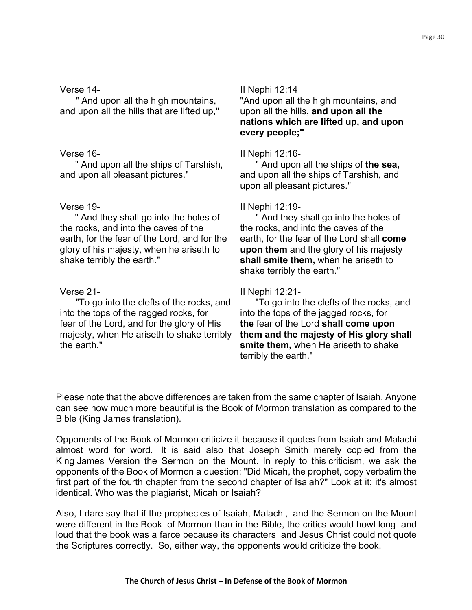#### Verse 14-

" And upon all the high mountains, and upon all the hills that are lifted up,''

# Verse 16-

" And upon all the ships of Tarshish, and upon all pleasant pictures."

# Verse 19-

" And they shall go into the holes of the rocks, and into the caves of the earth, for the fear of the Lord, and for the glory of his majesty, when he ariseth to shake terribly the earth."

# Verse 21-

"To go into the clefts of the rocks, and into the tops of the ragged rocks, for fear of the Lord, and for the glory of His majesty, when He ariseth to shake terribly the earth."

# II Nephi 12:14

"And upon all the high mountains, and upon all the hills, **and upon all the nations which are lifted up, and upon every people;"**

# II Nephi 12:16-

" And upon all the ships of **the sea,**  and upon all the ships of Tarshish, and upon all pleasant pictures."

# II Nephi 12:19-

" And they shall go into the holes of the rocks, and into the caves of the earth, for the fear of the Lord shall **come upon them** and the glory of his majesty **shall smite them,** when he ariseth to shake terribly the earth."

# II Nephi 12:21-

"To go into the clefts of the rocks, and into the tops of the jagged rocks, for **the** fear of the Lord **shall come upon them and the majesty of His glory shall smite them,** when He ariseth to shake terribly the earth."

Please note that the above differences are taken from the same chapter of Isaiah. Anyone can see how much more beautiful is the Book of Mormon translation as compared to the Bible (King James translation).

Opponents of the Book of Mormon criticize it because it quotes from Isaiah and Malachi almost word for word. It is said also that Joseph Smith merely copied from the King James Version the Sermon on the Mount. In reply to this criticism, we ask the opponents of the Book of Mormon a question: "Did Micah, the prophet, copy verbatim the first part of the fourth chapter from the second chapter of Isaiah?" Look at it; it's almost identical. Who was the plagiarist, Micah or Isaiah?

Also, I dare say that if the prophecies of Isaiah, Malachi, and the Sermon on the Mount were different in the Book of Mormon than in the Bible, the critics would howl long and loud that the book was a farce because its characters and Jesus Christ could not quote the Scriptures correctly. So, either way, the opponents would criticize the book.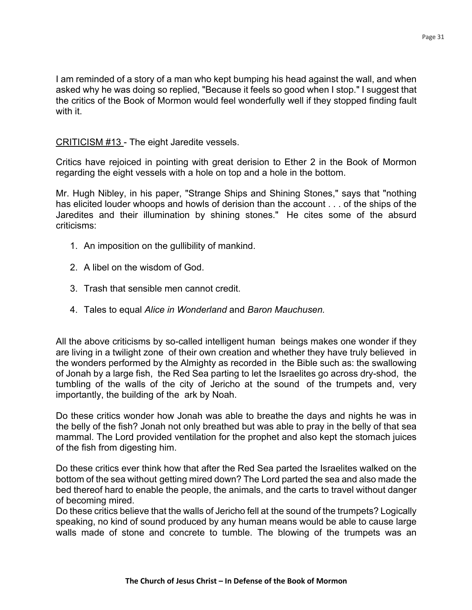I am reminded of a story of a man who kept bumping his head against the wall, and when asked why he was doing so replied, "Because it feels so good when I stop." I suggest that the critics of the Book of Mormon would feel wonderfully well if they stopped finding fault with it.

CRITICISM #13 - The eight Jaredite vessels.

Critics have rejoiced in pointing with great derision to Ether 2 in the Book of Mormon regarding the eight vessels with a hole on top and a hole in the bottom.

Mr. Hugh Nibley, in his paper, "Strange Ships and Shining Stones," says that "nothing has elicited louder whoops and howls of derision than the account . . . of the ships of the Jaredites and their illumination by shining stones." He cites some of the absurd criticisms:

- 1. An imposition on the gullibility of mankind.
- 2. A libel on the wisdom of God.
- 3. Trash that sensible men cannot credit.
- 4. Tales to equal *Alice in Wonderland* and *Baron Mauchusen.*

All the above criticisms by so-called intelligent human beings makes one wonder if they are living in a twilight zone of their own creation and whether they have truly believed in the wonders performed by the Almighty as recorded in the Bible such as: the swallowing of Jonah by a large fish, the Red Sea parting to let the Israelites go across dry-shod, the tumbling of the walls of the city of Jericho at the sound of the trumpets and, very importantly, the building of the ark by Noah.

Do these critics wonder how Jonah was able to breathe the days and nights he was in the belly of the fish? Jonah not only breathed but was able to pray in the belly of that sea mammal. The Lord provided ventilation for the prophet and also kept the stomach juices of the fish from digesting him.

Do these critics ever think how that after the Red Sea parted the Israelites walked on the bottom of the sea without getting mired down? The Lord parted the sea and also made the bed thereof hard to enable the people, the animals, and the carts to travel without danger of becoming mired.

Do these critics believe that the walls of Jericho fell at the sound of the trumpets? Logically speaking, no kind of sound produced by any human means would be able to cause large walls made of stone and concrete to tumble. The blowing of the trumpets was an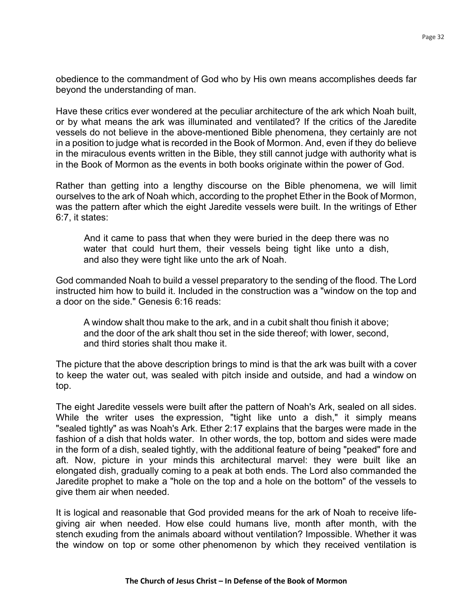obedience to the commandment of God who by His own means accomplishes deeds far beyond the understanding of man.

Have these critics ever wondered at the peculiar architecture of the ark which Noah built, or by what means the ark was illuminated and ventilated? If the critics of the Jaredite vessels do not believe in the above-mentioned Bible phenomena, they certainly are not in a position to judge what is recorded in the Book of Mormon. And, even if they do believe in the miraculous events written in the Bible, they still cannot judge with authority what is in the Book of Mormon as the events in both books originate within the power of God.

Rather than getting into a lengthy discourse on the Bible phenomena, we will limit ourselves to the ark of Noah which, according to the prophet Ether in the Book of Mormon, was the pattern after which the eight Jaredite vessels were built. In the writings of Ether 6:7, it states:

And it came to pass that when they were buried in the deep there was no water that could hurt them, their vessels being tight like unto a dish, and also they were tight like unto the ark of Noah.

God commanded Noah to build a vessel preparatory to the sending of the flood. The Lord instructed him how to build it. Included in the construction was a "window on the top and a door on the side." Genesis 6:16 reads:

A window shalt thou make to the ark, and in a cubit shalt thou finish it above; and the door of the ark shalt thou set in the side thereof; with lower, second, and third stories shalt thou make it.

The picture that the above description brings to mind is that the ark was built with a cover to keep the water out, was sealed with pitch inside and outside, and had a window on top.

The eight Jaredite vessels were built after the pattern of Noah's Ark, sealed on all sides. While the writer uses the expression, "tight like unto a dish," it simply means "sealed tightly" as was Noah's Ark. Ether 2:17 explains that the barges were made in the fashion of a dish that holds water. In other words, the top, bottom and sides were made in the form of a dish, sealed tightly, with the additional feature of being "peaked" fore and aft. Now, picture in your minds this architectural marvel: they were built like an elongated dish, gradually coming to a peak at both ends. The Lord also commanded the Jaredite prophet to make a "hole on the top and a hole on the bottom" of the vessels to give them air when needed.

It is logical and reasonable that God provided means for the ark of Noah to receive lifegiving air when needed. How else could humans live, month after month, with the stench exuding from the animals aboard without ventilation? Impossible. Whether it was the window on top or some other phenomenon by which they received ventilation is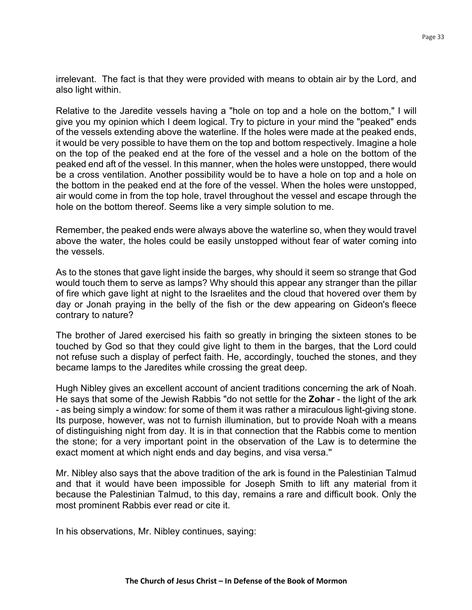irrelevant. The fact is that they were provided with means to obtain air by the Lord, and also light within.

Relative to the Jaredite vessels having a "hole on top and a hole on the bottom," I will give you my opinion which I deem logical. Try to picture in your mind the "peaked" ends of the vessels extending above the waterline. If the holes were made at the peaked ends, it would be very possible to have them on the top and bottom respectively. Imagine a hole on the top of the peaked end at the fore of the vessel and a hole on the bottom of the peaked end aft of the vessel. In this manner, when the holes were unstopped, there would be a cross ventilation. Another possibility would be to have a hole on top and a hole on the bottom in the peaked end at the fore of the vessel. When the holes were unstopped, air would come in from the top hole, travel throughout the vessel and escape through the hole on the bottom thereof. Seems like a very simple solution to me.

Remember, the peaked ends were always above the waterline so, when they would travel above the water, the holes could be easily unstopped without fear of water coming into the vessels.

As to the stones that gave light inside the barges, why should it seem so strange that God would touch them to serve as lamps? Why should this appear any stranger than the pillar of fire which gave light at night to the Israelites and the cloud that hovered over them by day or Jonah praying in the belly of the fish or the dew appearing on Gideon's fleece contrary to nature?

The brother of Jared exercised his faith so greatly in bringing the sixteen stones to be touched by God so that they could give light to them in the barges, that the Lord could not refuse such a display of perfect faith. He, accordingly, touched the stones, and they became lamps to the Jaredites while crossing the great deep.

Hugh Nibley gives an excellent account of ancient traditions concerning the ark of Noah. He says that some of the Jewish Rabbis "do not settle for the **Zohar** - the light of the ark - as being simply a window: for some of them it was rather a miraculous light-giving stone. Its purpose, however, was not to furnish illumination, but to provide Noah with a means of distinguishing night from day. It is in that connection that the Rabbis come to mention the stone; for a very important point in the observation of the Law is to determine the exact moment at which night ends and day begins, and visa versa.''

Mr. Nibley also says that the above tradition of the ark is found in the Palestinian Talmud and that it would have been impossible for Joseph Smith to lift any material from it because the Palestinian Talmud, to this day, remains a rare and difficult book. Only the most prominent Rabbis ever read or cite it.

In his observations, Mr. Nibley continues, saying: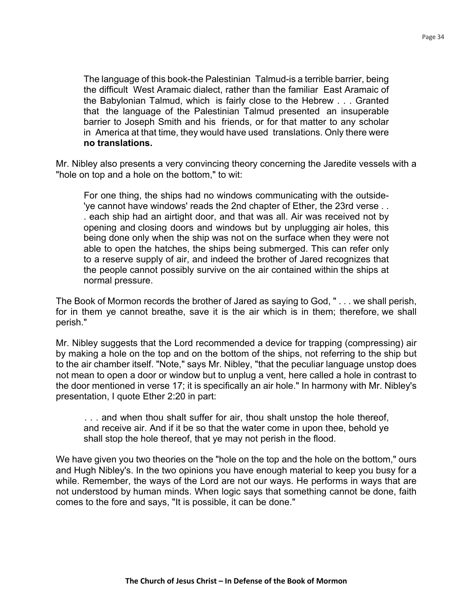The language of this book-the Palestinian Talmud-is a terrible barrier, being the difficult West Aramaic dialect, rather than the familiar East Aramaic of the Babylonian Talmud, which is fairly close to the Hebrew . . . Granted that the language of the Palestinian Talmud presented an insuperable barrier to Joseph Smith and his friends, or for that matter to any scholar in America at that time, they would have used translations. Only there were **no translations.**

Mr. Nibley also presents a very convincing theory concerning the Jaredite vessels with a "hole on top and a hole on the bottom," to wit:

For one thing, the ships had no windows communicating with the outside- 'ye cannot have windows' reads the 2nd chapter of Ether, the 23rd verse . . . each ship had an airtight door, and that was all. Air was received not by opening and closing doors and windows but by unplugging air holes, this being done only when the ship was not on the surface when they were not able to open the hatches, the ships being submerged. This can refer only to a reserve supply of air, and indeed the brother of Jared recognizes that the people cannot possibly survive on the air contained within the ships at normal pressure.

The Book of Mormon records the brother of Jared as saying to God, " . . . we shall perish, for in them ye cannot breathe, save it is the air which is in them; therefore, we shall perish."

Mr. Nibley suggests that the Lord recommended a device for trapping (compressing) air by making a hole on the top and on the bottom of the ships, not referring to the ship but to the air chamber itself. "Note," says Mr. Nibley, "that the peculiar language unstop does not mean to open a door or window but to unplug a vent, here called a hole in contrast to the door mentioned in verse 17; it is specifically an air hole." In harmony with Mr. Nibley's presentation, I quote Ether 2:20 in part:

. . . and when thou shalt suffer for air, thou shalt unstop the hole thereof, and receive air. And if it be so that the water come in upon thee, behold ye shall stop the hole thereof, that ye may not perish in the flood.

We have given you two theories on the "hole on the top and the hole on the bottom," ours and Hugh Nibley's. In the two opinions you have enough material to keep you busy for a while. Remember, the ways of the Lord are not our ways. He performs in ways that are not understood by human minds. When logic says that something cannot be done, faith comes to the fore and says, "It is possible, it can be done."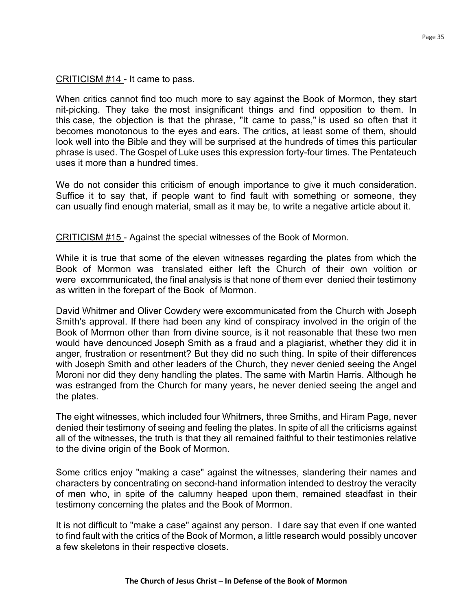# CRITICISM #14 - It came to pass.

When critics cannot find too much more to say against the Book of Mormon, they start nit-picking. They take the most insignificant things and find opposition to them. In this case, the objection is that the phrase, "It came to pass," is used so often that it becomes monotonous to the eyes and ears. The critics, at least some of them, should look well into the Bible and they will be surprised at the hundreds of times this particular phrase is used. The Gospel of Luke uses this expression forty-four times. The Pentateuch uses it more than a hundred times.

We do not consider this criticism of enough importance to give it much consideration. Suffice it to say that, if people want to find fault with something or someone, they can usually find enough material, small as it may be, to write a negative article about it.

CRITICISM #15 - Against the special witnesses of the Book of Mormon.

While it is true that some of the eleven witnesses regarding the plates from which the Book of Mormon was translated either left the Church of their own volition or were excommunicated, the final analysis is that none of them ever denied their testimony as written in the forepart of the Book of Mormon.

David Whitmer and Oliver Cowdery were excommunicated from the Church with Joseph Smith's approval. If there had been any kind of conspiracy involved in the origin of the Book of Mormon other than from divine source, is it not reasonable that these two men would have denounced Joseph Smith as a fraud and a plagiarist, whether they did it in anger, frustration or resentment? But they did no such thing. In spite of their differences with Joseph Smith and other leaders of the Church, they never denied seeing the Angel Moroni nor did they deny handling the plates. The same with Martin Harris. Although he was estranged from the Church for many years, he never denied seeing the angel and the plates.

The eight witnesses, which included four Whitmers, three Smiths, and Hiram Page, never denied their testimony of seeing and feeling the plates. In spite of all the criticisms against all of the witnesses, the truth is that they all remained faithful to their testimonies relative to the divine origin of the Book of Mormon.

Some critics enjoy "making a case" against the witnesses, slandering their names and characters by concentrating on second-hand information intended to destroy the veracity of men who, in spite of the calumny heaped upon them, remained steadfast in their testimony concerning the plates and the Book of Mormon.

It is not difficult to "make a case" against any person. I dare say that even if one wanted to find fault with the critics of the Book of Mormon, a little research would possibly uncover a few skeletons in their respective closets.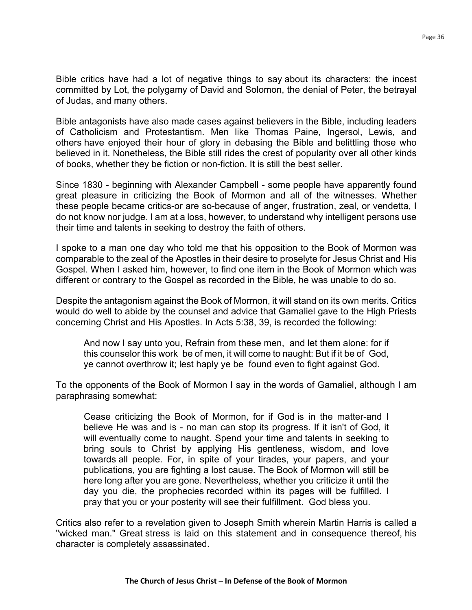Bible critics have had a lot of negative things to say about its characters: the incest committed by Lot, the polygamy of David and Solomon, the denial of Peter, the betrayal of Judas, and many others.

Bible antagonists have also made cases against believers in the Bible, including leaders of Catholicism and Protestantism. Men like Thomas Paine, Ingersol, Lewis, and others have enjoyed their hour of glory in debasing the Bible and belittling those who believed in it. Nonetheless, the Bible still rides the crest of popularity over all other kinds of books, whether they be fiction or non-fiction. It is still the best seller.

Since 1830 - beginning with Alexander Campbell - some people have apparently found great pleasure in criticizing the Book of Mormon and all of the witnesses. Whether these people became critics-or are so-because of anger, frustration, zeal, or vendetta, I do not know nor judge. I am at a loss, however, to understand why intelligent persons use their time and talents in seeking to destroy the faith of others.

I spoke to a man one day who told me that his opposition to the Book of Mormon was comparable to the zeal of the Apostles in their desire to proselyte for Jesus Christ and His Gospel. When I asked him, however, to find one item in the Book of Mormon which was different or contrary to the Gospel as recorded in the Bible, he was unable to do so.

Despite the antagonism against the Book of Mormon, it will stand on its own merits. Critics would do well to abide by the counsel and advice that Gamaliel gave to the High Priests concerning Christ and His Apostles. In Acts 5:38, 39, is recorded the following:

And now I say unto you, Refrain from these men, and let them alone: for if this counselor this work be of men, it will come to naught: But if it be of God, ye cannot overthrow it; lest haply ye be found even to fight against God.

To the opponents of the Book of Mormon I say in the words of Gamaliel, although I am paraphrasing somewhat:

Cease criticizing the Book of Mormon, for if God is in the matter-and I believe He was and is - no man can stop its progress. If it isn't of God, it will eventually come to naught. Spend your time and talents in seeking to bring souls to Christ by applying His gentleness, wisdom, and love towards all people. For, in spite of your tirades, your papers, and your publications, you are fighting a lost cause. The Book of Mormon will still be here long after you are gone. Nevertheless, whether you criticize it until the day you die, the prophecies recorded within its pages will be fulfilled. I pray that you or your posterity will see their fulfillment. God bless you.

Critics also refer to a revelation given to Joseph Smith wherein Martin Harris is called a "wicked man." Great stress is laid on this statement and in consequence thereof, his character is completely assassinated.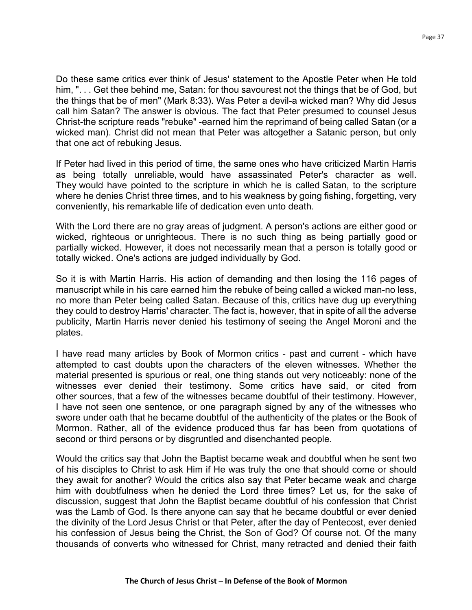Do these same critics ever think of Jesus' statement to the Apostle Peter when He told him, ". . . Get thee behind me, Satan: for thou savourest not the things that be of God, but the things that be of men" (Mark 8:33). Was Peter a devil-a wicked man? Why did Jesus call him Satan? The answer is obvious. The fact that Peter presumed to counsel Jesus Christ-the scripture reads "rebuke" -earned him the reprimand of being called Satan (or a wicked man). Christ did not mean that Peter was altogether a Satanic person, but only that one act of rebuking Jesus.

If Peter had lived in this period of time, the same ones who have criticized Martin Harris as being totally unreliable, would have assassinated Peter's character as well. They would have pointed to the scripture in which he is called Satan, to the scripture where he denies Christ three times, and to his weakness by going fishing, forgetting, very conveniently, his remarkable life of dedication even unto death.

With the Lord there are no gray areas of judgment. A person's actions are either good or wicked, righteous or unrighteous. There is no such thing as being partially good or partially wicked. However, it does not necessarily mean that a person is totally good or totally wicked. One's actions are judged individually by God.

So it is with Martin Harris. His action of demanding and then losing the 116 pages of manuscript while in his care earned him the rebuke of being called a wicked man-no less, no more than Peter being called Satan. Because of this, critics have dug up everything they could to destroy Harris' character. The fact is, however, that in spite of all the adverse publicity, Martin Harris never denied his testimony of seeing the Angel Moroni and the plates.

I have read many articles by Book of Mormon critics - past and current - which have attempted to cast doubts upon the characters of the eleven witnesses. Whether the material presented is spurious or real, one thing stands out very noticeably: none of the witnesses ever denied their testimony. Some critics have said, or cited from other sources, that a few of the witnesses became doubtful of their testimony. However, I have not seen one sentence, or one paragraph signed by any of the witnesses who swore under oath that he became doubtful of the authenticity of the plates or the Book of Mormon. Rather, all of the evidence produced thus far has been from quotations of second or third persons or by disgruntled and disenchanted people.

Would the critics say that John the Baptist became weak and doubtful when he sent two of his disciples to Christ to ask Him if He was truly the one that should come or should they await for another? Would the critics also say that Peter became weak and charge him with doubtfulness when he denied the Lord three times? Let us, for the sake of discussion, suggest that John the Baptist became doubtful of his confession that Christ was the Lamb of God. Is there anyone can say that he became doubtful or ever denied the divinity of the Lord Jesus Christ or that Peter, after the day of Pentecost, ever denied his confession of Jesus being the Christ, the Son of God? Of course not. Of the many thousands of converts who witnessed for Christ, many retracted and denied their faith